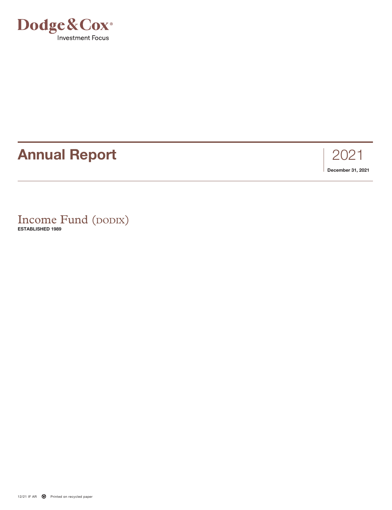

# **Annual Report**

# 2021

**December 31, 2021**

Income Fund (DODIX) **ESTABLISHED 1989**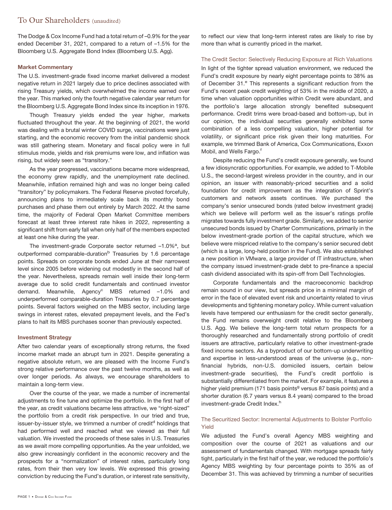### To Our Shareholders (unaudited)

The Dodge & Cox Income Fund had a total return of –0.9% for the year ended December 31, 2021, compared to a return of –1.5% for the Bloomberg U.S. Aggregate Bond Index (Bloomberg U.S. Agg).

#### **Market Commentary**

The U.S. investment-grade fixed income market delivered a modest negative return in 2021 largely due to price declines associated with rising Treasury yields, which overwhelmed the income earned over the year. This marked only the fourth negative calendar year return for the Bloomberg U.S. Aggregate Bond Index since its inception in 1976.

Though Treasury yields ended the year higher, markets fluctuated throughout the year. At the beginning of 2021, the world was dealing with a brutal winter COVID surge, vaccinations were just starting, and the economic recovery from the initial pandemic shock was still gathering steam. Monetary and fiscal policy were in full stimulus mode, yields and risk premiums were low, and inflation was rising, but widely seen as "transitory."

As the year progressed, vaccinations became more widespread, the economy grew rapidly, and the unemployment rate declined. Meanwhile, inflation remained high and was no longer being called "transitory" by policymakers. The Federal Reserve pivoted forcefully, announcing plans to immediately scale back its monthly bond purchases and phase them out entirely by March 2022. At the same time, the majority of Federal Open Market Committee members forecast at least three interest rate hikes in 2022, representing a significant shift from early fall when only half of the members expected at least one hike during the year.

The investment-grade Corporate sector returned -1.0%<sup>a</sup>, but outperformed comparable-duration<sup>b</sup> Treasuries by 1.6 percentage points. Spreads on corporate bonds ended June at their narrowest level since 2005 before widening out modestly in the second half of the year. Nevertheless, spreads remain well inside their long-term average due to solid credit fundamentals and continued investor demand. Meanwhile, Agency<sup>c</sup> MBS returned -1.0% and underperformed comparable-duration Treasuries by 0.7 percentage points. Several factors weighed on the MBS sector, including large swings in interest rates, elevated prepayment levels, and the Fed's plans to halt its MBS purchases sooner than previously expected.

#### **Investment Strategy**

After two calendar years of exceptionally strong returns, the fixed income market made an abrupt turn in 2021. Despite generating a negative absolute return, we are pleased with the Income Fund's strong relative performance over the past twelve months, as well as over longer periods. As always, we encourage shareholders to maintain a long-term view.

Over the course of the year, we made a number of incremental adjustments to fine tune and optimize the portfolio. In the first half of the year, as credit valuations became less attractive, we "right-sized" the portfolio from a credit risk perspective. In our tried and true, issuer-by-issuer style, we trimmed a number of credit<sup>d</sup> holdings that had performed well and reached what we viewed as their full valuation. We invested the proceeds of these sales in U.S. Treasuries as we await more compelling opportunities. As the year unfolded, we also grew increasingly confident in the economic recovery and the prospects for a "normalization" of interest rates, particularly long rates, from their then very low levels. We expressed this growing conviction by reducing the Fund's duration, or interest rate sensitivity,

to reflect our view that long-term interest rates are likely to rise by more than what is currently priced in the market.

#### The Credit Sector: Selectively Reducing Exposure at Rich Valuations

In light of the tighter spread valuation environment, we reduced the Fund's credit exposure by nearly eight percentage points to 38% as of December 31.<sup>e</sup> This represents a significant reduction from the Fund's recent peak credit weighting of 53% in the middle of 2020, a time when valuation opportunities within Credit were abundant, and the portfolio's large allocation strongly benefited subsequent performance. Credit trims were broad-based and bottom-up, but in our opinion, the individual securities generally exhibited some combination of a less compelling valuation, higher potential for volatility, or significant price risk given their long maturities. For example, we trimmed Bank of America, Cox Communications, Exxon Mobil, and Wells Fargo.<sup>f</sup>

Despite reducing the Fund's credit exposure generally, we found a few idiosyncratic opportunities. For example, we added to T-Mobile U.S., the second-largest wireless provider in the country, and in our opinion, an issuer with reasonably-priced securities and a solid foundation for credit improvement as the integration of Sprint's customers and network assets continues. We purchased the company's senior unsecured bonds (rated below investment grade) which we believe will perform well as the issuer's ratings profile migrates towards fully investment grade. Similarly, we added to senior unsecured bonds issued by Charter Communications, primarily in the below investment-grade portion of the capital structure, which we believe were mispriced relative to the company's senior secured debt (which is a large, long-held position in the Fund). We also established a new position in VMware, a large provider of IT infrastructure, when the company issued investment-grade debt to pre-finance a special cash dividend associated with its spin-off from Dell Technologies.

Corporate fundamentals and the macroeconomic backdrop remain sound in our view, but spreads price in a minimal margin of error in the face of elevated event risk and uncertainty related to virus developments and tightening monetary policy. While current valuation levels have tempered our enthusiasm for the credit sector generally, the Fund remains overweight credit relative to the Bloomberg U.S. Agg. We believe the long-term total return prospects for a thoroughly researched and fundamentally strong portfolio of credit issuers are attractive, particularly relative to other investment-grade fixed income sectors. As a byproduct of our bottom-up underwriting and expertise in less-understood areas of the universe (e.g., nonfinancial hybrids, non-U.S. domiciled issuers, certain below investment-grade securities), the Fund's credit portfolio is substantially differentiated from the market. For example, it features a higher yield premium (171 basis points<sup>g</sup> versus 87 basis points) and a shorter duration (6.7 years versus 8.4 years) compared to the broad investment-grade Credit Index.h

#### The Securitized Sector: Incremental Adjustments to Bolster Portfolio Yield

We adjusted the Fund's overall Agency MBS weighting and composition over the course of 2021 as valuations and our assessment of fundamentals changed. With mortgage spreads fairly tight, particularly in the first half of the year, we reduced the portfolio's Agency MBS weighting by four percentage points to 35% as of December 31. This was achieved by trimming a number of securities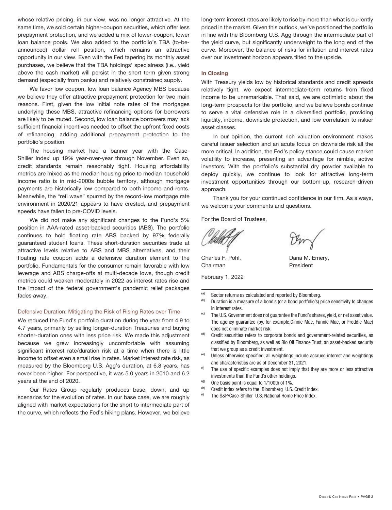whose relative pricing, in our view, was no longer attractive. At the same time, we sold certain higher-coupon securities, which offer less prepayment protection, and we added a mix of lower-coupon, lower loan balance pools. We also added to the portfolio's TBA (to-beannounced) dollar roll position, which remains an attractive opportunity in our view. Even with the Fed tapering its monthly asset purchases, we believe that the TBA holdings' specialness (i.e., yield above the cash market) will persist in the short term given strong demand (especially from banks) and relatively constrained supply.

We favor low coupon, low loan balance Agency MBS because we believe they offer attractive prepayment protection for two main reasons. First, given the low initial note rates of the mortgages underlying these MBS, attractive refinancing options for borrowers are likely to be muted. Second, low loan balance borrowers may lack sufficient financial incentives needed to offset the upfront fixed costs of refinancing, adding additional prepayment protection to the portfolio's position.

The housing market had a banner year with the Case-Shiller Index<sup>i</sup> up 19% year-over-year through November. Even so, credit standards remain reasonably tight. Housing affordability metrics are mixed as the median housing price to median household income ratio is in mid-2000s bubble territory, although mortgage payments are historically low compared to both income and rents. Meanwhile, the "refi wave" spurred by the record-low mortgage rate environment in 2020/21 appears to have crested, and prepayment speeds have fallen to pre-COVID levels.

We did not make any significant changes to the Fund's 5% position in AAA-rated asset-backed securities (ABS). The portfolio continues to hold floating rate ABS backed by 97% federally guaranteed student loans. These short-duration securities trade at attractive levels relative to ABS and MBS alternatives, and their floating rate coupon adds a defensive duration element to the portfolio. Fundamentals for the consumer remain favorable with low leverage and ABS charge-offs at multi-decade lows, though credit metrics could weaken moderately in 2022 as interest rates rise and the impact of the federal government's pandemic relief packages fades away.

#### Defensive Duration: Mitigating the Risk of Rising Rates over Time

We reduced the Fund's portfolio duration during the year from 4.9 to 4.7 years, primarily by selling longer-duration Treasuries and buying shorter-duration ones with less price risk. We made this adjustment because we grew increasingly uncomfortable with assuming significant interest rate/duration risk at a time when there is little income to offset even a small rise in rates. Market interest rate risk, as measured by the Bloomberg U.S. Agg's duration, at 6.8 years, has never been higher. For perspective, it was 5.0 years in 2010 and 6.2 years at the end of 2020.

Our Rates Group regularly produces base, down, and up scenarios for the evolution of rates. In our base case, we are roughly aligned with market expectations for the short to intermediate part of the curve, which reflects the Fed's hiking plans. However, we believe

long-term interest rates are likely to rise by more than what is currently priced in the market. Given this outlook, we've positioned the portfolio in line with the Bloomberg U.S. Agg through the intermediate part of the yield curve, but significantly underweight to the long end of the curve. Moreover, the balance of risks for inflation and interest rates over our investment horizon appears tilted to the upside.

#### **In Closing**

With Treasury yields low by historical standards and credit spreads relatively tight, we expect intermediate-term returns from fixed income to be unremarkable. That said, we are optimistic about the long-term prospects for the portfolio, and we believe bonds continue to serve a vital defensive role in a diversified portfolio, providing liquidity, income, downside protection, and low correlation to riskier asset classes.

In our opinion, the current rich valuation environment makes careful issuer selection and an acute focus on downside risk all the more critical. In addition, the Fed's policy stance could cause market volatility to increase, presenting an advantage for nimble, active investors. With the portfolio's substantial dry powder available to deploy quickly, we continue to look for attractive long-term investment opportunities through our bottom-up, research-driven approach.

Thank you for your continued confidence in our firm. As always, we welcome your comments and questions.

For the Board of Trustees,

Charles F. Pohl, Chairman

February 1, 2022

Dana M. Emery,

President

(a) Sector returns as calculated and reported by Bloomberg.<br>(b) Duration is a measure of a bond's (or a bond portfolio's) r Duration is a measure of a bond's (or a bond portfolio's) price sensitivity to changes

- in interest rates. (c) The U.S. Government does not guarantee the Fund's shares, yield, or net asset value. The agency guarantee (by, for example,Ginnie Mae, Fannie Mae, or Freddie Mac)
- does not eliminate market risk.  $<sup>(d)</sup>$  Credit securities refers to corporate bonds and government-related securities, as</sup>
- classified by Bloomberg, as well as Rio Oil Finance Trust, an asset-backed security that we group as a credit investment.
- (e) Unless otherwise specified, all weightings include accrued interest and weightings and characteristics are as of December 31, 2021.
- $(6)$  The use of specific examples does not imply that they are more or less attractive investments than the Fund's other holdings.
- (g) One basis point is equal to  $1/100$ th of  $1\%$ .<br>(h) Crodit ladox refers to the Bloomborg U.S.
- Credit Index refers to the Bloomberg U.S. Credit Index.
- (i) The S&P/Case-Shiller U.S. National Home Price Index.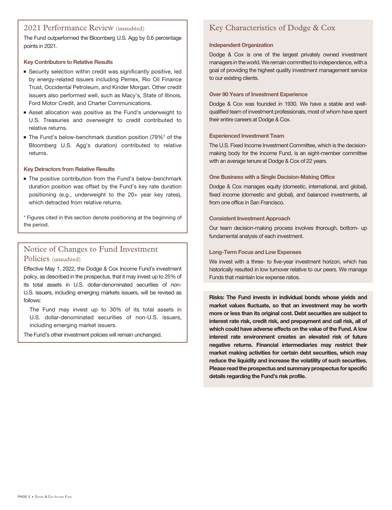### 2021 Performance Review (unaudited)

The Fund outperformed the Bloomberg U.S. Agg by 0.6 percentage points in 2021.

#### **Key Contributors to Relative Results**

- **Security selection within credit was significantly positive, led** by energy-related issuers including Pemex, Rio Oil Finance Trust, Occidental Petroleum, and Kinder Morgan. Other credit issuers also performed well, such as Macy's, State of Illinois, Ford Motor Credit, and Charter Communications.
- **E** Asset allocation was positive as the Fund's underweight to U.S. Treasuries and overweight to credit contributed to relative returns.
- The Fund's below-benchmark duration position (79%\* of the Bloomberg U.S. Agg's duration) contributed to relative returns.

#### **Key Detractors from Relative Results**

**The positive contribution from the Fund's below-benchmark** duration position was offset by the Fund's key rate duration positioning (e.g., underweight to the 20+ year key rates), which detracted from relative returns.

\* Figures cited in this section denote positioning at the beginning of the period.

### Notice of Changes to Fund Investment Policies (unaudited)

Effective May 1, 2022, the Dodge & Cox Income Fund's investment policy, as described in the prospectus, that it may invest up to 25% of its total assets in U.S. dollar-denominated securities of non-U.S. issuers, including emerging markets issuers, will be revised as follows:

The Fund may invest up to 30% of its total assets in U.S. dollar-denominated securities of non-U.S. issuers, including emerging market issuers.

The Fund's other investment policies will remain unchanged.

## Key Characteristics of Dodge & Cox

#### **Independent Organization**

Dodge & Cox is one of the largest privately owned investment managers in the world.We remain committed to independence, with a goal of providing the highest quality investment management service to our existing clients.

#### **Over 90 Years of Investment Experience**

Dodge & Cox was founded in 1930. We have a stable and wellqualified team of investment professionals, most of whom have spent their entire careers at Dodge & Cox.

#### **Experienced Investment Team**

The U.S. Fixed Income Investment Committee, which is the decisionmaking body for the Income Fund, is an eight-member committee with an average tenure at Dodge & Cox of 22 years.

#### **One Business with a Single Decision-Making Office**

Dodge & Cox manages equity (domestic, international, and global), fixed income (domestic and global), and balanced investments, all from one office in San Francisco.

#### **Consistent Investment Approach**

Our team decision-making process involves thorough, bottom- up fundamental analysis of each investment.

#### **Long-Term Focus and Low Expenses**

We invest with a three- to five-year investment horizon, which has historically resulted in low turnover relative to our peers. We manage Funds that maintain low expense ratios.

**Risks: The Fund invests in individual bonds whose yields and market values fluctuate, so that an investment may be worth more or less than its original cost. Debt securities are subject to interest rate risk, credit risk, and prepayment and call risk, all of which could have adverse effects on the value of the Fund. A low interest rate environment creates an elevated risk of future negative returns. Financial intermediaries may restrict their market making activities for certain debt securities, which may reduce the liquidity and increase the volatility of such securities. Please read the prospectus and summary prospectus for specific details regarding the Fund's risk profile.**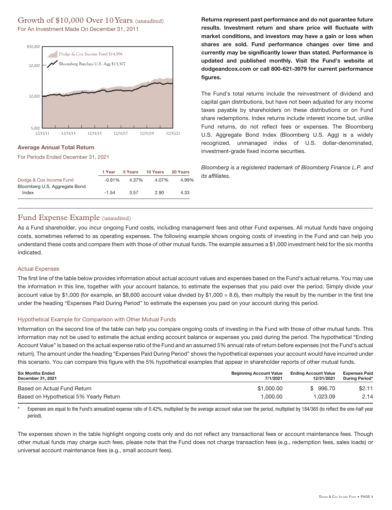#### Growth of \$10,000 Over 10Years (unaudited) For An Investment Made On December 31, 2011



#### **Average Annual Total Return**

For Periods Ended December 31, 2021

|                               | 1 Year   | 5 Years | 10 Years | 20 Years |
|-------------------------------|----------|---------|----------|----------|
| Dodge & Cox Income Fund       | $-0.91%$ | 4.37%   | 4.07%    | 4.99%    |
| Bloomberg U.S. Aggregate Bond |          |         |          |          |
| Index                         | $-1.54$  | 3.57    | 2.90     | 4.33     |

**Returns represent past performance and do not guarantee future results. Investment return and share price will fluctuate with market conditions, and investors may have a gain or loss when shares are sold. Fund performance changes over time and currently may be significantly lower than stated. Performance is updated and published monthly. Visit the Fund's website at dodgeandcox.com or call 800-621-3979 for current performance figures.**

The Fund's total returns include the reinvestment of dividend and capital gain distributions, but have not been adjusted for any income taxes payable by shareholders on these distributions or on Fund share redemptions. Index returns include interest income but, unlike Fund returns, do not reflect fees or expenses. The Bloomberg U.S. Aggregate Bond Index (Bloomberg U.S. Agg) is a widely recognized, unmanaged index of U.S. dollar-denominated, investment-grade fixed income securities.

Bloomberg is a registered trademark of Bloomberg Finance L.P. and its affiliates.

### Fund Expense Example (unaudited)

As a Fund shareholder, you incur ongoing Fund costs, including management fees and other Fund expenses. All mutual funds have ongoing costs, sometimes referred to as operating expenses. The following example shows ongoing costs of investing in the Fund and can help you understand these costs and compare them with those of other mutual funds. The example assumes a \$1,000 investment held for the six months indicated.

#### Actual Expenses

The first line of the table below provides information about actual account values and expenses based on the Fund's actual returns. You may use the information in this line, together with your account balance, to estimate the expenses that you paid over the period. Simply divide your account value by \$1,000 (for example, an \$8,600 account value divided by \$1,000 = 8.6), then multiply the result by the number in the first line under the heading "Expenses Paid During Period" to estimate the expenses you paid on your account during this period.

#### Hypothetical Example for Comparison with Other Mutual Funds

Information on the second line of the table can help you compare ongoing costs of investing in the Fund with those of other mutual funds. This information may not be used to estimate the actual ending account balance or expenses you paid during the period. The hypothetical "Ending Account Value" is based on the actual expense ratio of the Fund and an assumed 5% annual rate of return before expenses (not the Fund's actual return). The amount under the heading "Expenses Paid During Period" shows the hypothetical expenses your account would have incurred under this scenario. You can compare this figure with the 5% hypothetical examples that appear in shareholder reports of other mutual funds.

| <b>Six Months Ended</b><br>December 31, 2021 | <b>Beginning Account Value</b><br>7/1/2021 | <b>Ending Account Value</b><br>12/31/2021 | <b>Expenses Paid</b><br><b>During Period*</b> |
|----------------------------------------------|--------------------------------------------|-------------------------------------------|-----------------------------------------------|
| Based on Actual Fund Return                  | \$1,000.00                                 | \$996.70                                  | \$2.11                                        |
| Based on Hypothetical 5% Yearly Return       | 1.000.00                                   | 0.023.09                                  | 2.14                                          |

Expenses are equal to the Fund's annualized expense ratio of 0.42%, multiplied by the average account value over the period, multiplied by 184/365 (to reflect the one-half year period).

The expenses shown in the table highlight ongoing costs only and do not reflect any transactional fees or account maintenance fees. Though other mutual funds may charge such fees, please note that the Fund does not charge transaction fees (e.g., redemption fees, sales loads) or universal account maintenance fees (e.g., small account fees).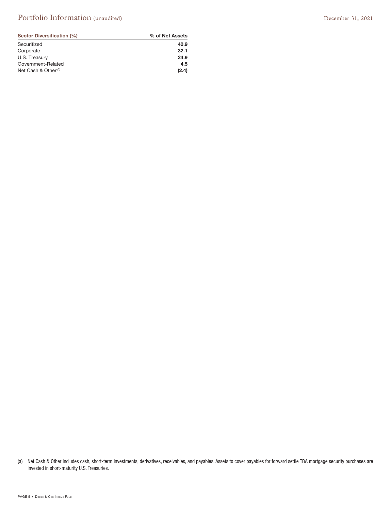# Portfolio Information (unaudited) December 31, 2021

| Sector Diversification (%)      | % of Net Assets |
|---------------------------------|-----------------|
| Securitized                     | 40.9            |
| Corporate                       | 32.1            |
| U.S. Treasury                   | 24.9            |
| Government-Related              | 4.5             |
| Net Cash & Other <sup>(a)</sup> | (2.4)           |

<sup>(</sup>a) Net Cash & Other includes cash, short-term investments, derivatives, receivables, and payables. Assets to cover payables for forward settle TBA mortgage security purchases are invested in short-maturity U.S. Treasuries.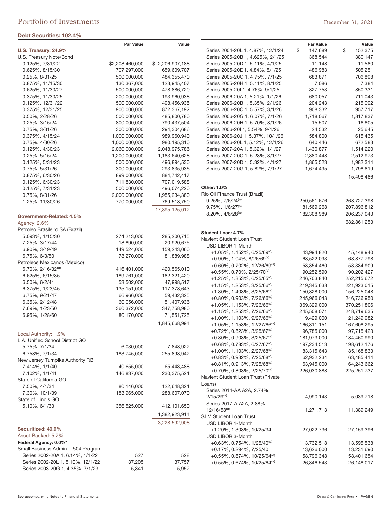#### **Debt Securities: 102.4%**

|                                      | <b>Par Value</b>           | Value                      |                                                                |
|--------------------------------------|----------------------------|----------------------------|----------------------------------------------------------------|
| U.S. Treasury: 24.9%                 |                            |                            | Series 2004-20L 1, 4.87%,                                      |
| U.S. Treasury Note/Bond              |                            |                            | Series 2005-20B 1, 4.625%                                      |
| 0.125%, 7/31/22                      | \$2,208,460,000            | \$2,206,907,188            | Series 2005-20D 1, 5.11%,                                      |
| 0.625%, 8/15/30                      | 707,297,000                | 659,609,707                | Series 2005-20E 1, 4.84%, !                                    |
| 0.25%, 8/31/25                       | 500,000,000                | 484,355,470                | Series 2005-20G 1, 4.75%,                                      |
| 0.875%, 11/15/30                     | 130,367,000                | 123,945,407                | Series 2005-20H 1, 5.11%,                                      |
| 0.625%, 11/30/27                     | 500,000,000                | 478,886,720                | Series 2005-20I 1, 4.76%, 9                                    |
| 0.375%, 11/30/25                     | 200,000,000                | 193,960,938                | Series 2006-20A 1, 5.21%,                                      |
| 0.125%, 12/31/22<br>0.375%, 12/31/25 | 500,000,000<br>900,000,000 | 498,456,935                | Series 2006-20B 1, 5.35%, 2<br>Series 2006-20C 1, 5.57%,       |
| 0.50%, 2/28/26                       | 500,000,000                | 872,367,192<br>485,800,780 | Series 2006-20G 1, 6.07%,                                      |
| 0.25%, 3/15/24                       | 800,000,000                | 790,437,504                | Series 2006-20H 1, 5.70%,                                      |
| 0.75%, 3/31/26                       | 300,000,000                | 294,304,686                | Series 2006-20I 1, 5.54%, 9                                    |
| 0.375%, 4/15/24                      | 1,000,000,000              | 989,960,940                | Series 2006-20J 1, 5.37%, 1                                    |
| 0.75%, 4/30/26                       | 1,000,000,000              | 980,195,310                | Series 2006-20L 1, 5.12%, 1                                    |
| 0.125%, 4/30/23                      | 2,060,000,000              | 2,048,975,786              | Series 2007-20A 1, 5.32%,                                      |
| 0.25%, 5/15/24                       | 1,200,000,000              | 1,183,640,628              | Series 2007-20C 1, 5.23%,                                      |
| 0.125%, 5/31/23                      | 500,000,000                | 496,894,530                | Series 2007-20D 1, 5.32%,                                      |
| 0.75%, 5/31/26                       | 300,000,000                | 293,835,936                | Series 2007-20G 1, 5.82%,                                      |
| 0.875%, 6/30/26                      | 899,000,000                | 884,742,417                |                                                                |
| 0.125%, 6/30/23                      | 711,830,000                | 707,019,588                |                                                                |
| 0.125%, 7/31/23                      | 500,000,000                | 496,074,220                | Other: 1.0%                                                    |
| 0.75%, 8/31/26                       | 2,000,000,000              | 1,955,234,380              | Rio Oil Finance Trust (Brazil)                                 |
| 1.25%, 11/30/26                      | 770,000,000                | 769,518,750                | 9.25%, 7/6/24 <sup>(a)</sup>                                   |
|                                      |                            | 17,895,125,012             | $9.75\%$ , $1/6/27^{(a)}$                                      |
| Government-Related: 4.5%             |                            |                            | 8.20%, 4/6/28 <sup>(a)</sup>                                   |
| Agency: 2.6%                         |                            |                            |                                                                |
| Petroleo Brasileiro SA (Brazil)      |                            |                            | Student Loan: 4.7%                                             |
| 5.093%, 1/15/30                      | 274,213,000                | 285,200,715                | Navient Student Loan Trust                                     |
| 7.25%, 3/17/44                       | 18,890,000                 | 20,920,675                 | USD LIBOR 1-Month                                              |
| 6.90%, 3/19/49                       | 149,524,000                | 159,243,060                | +1.05%, 1.152%, 6/25/69                                        |
| 6.75%, 6/3/50                        | 78,270,000                 | 81,889,988                 | +0.90%, 1.04%, 8/26/69 <sup>(<math>\epsilon</math></sup>       |
| Petroleos Mexicanos (Mexico)         |                            |                            | +0.60%, 0.702%, 12/26/6                                        |
| 6.70%, 2/16/32 <sup>(a)</sup>        | 416,401,000                | 420,565,010                | $+0.55\%$ , 0.70%, 2/25/70 <sup>(<math>\epsilon</math></sup> ) |
| 6.625%, 6/15/35<br>6.50%, 6/2/41     | 189,761,000<br>53,502,000  | 182,321,420<br>47,998,517  | +1.25%, 1.353%, 6/25/65                                        |
| 6.375%, 1/23/45                      | 135,151,000                | 117,378,643                | +1.15%, 1.253%, 3/25/66                                        |
| 6.75%, 9/21/47                       | 66,966,000                 | 59,432,325                 | +1.30%, 1.403%, 3/25/66                                        |
| 6.35%, 2/12/48                       | 60,056,000                 | 51,407,936                 | +0.80%, 0.903%, 7/26/66                                        |
| 7.69%, 1/23/50                       | 360,372,000                | 347,758,980                | +1.05%, 1.153%, 7/26/66                                        |
| 6.95%, 1/28/60                       | 80,170,000                 | 71,551,725                 | +1.15%, 1.253%, 7/26/66                                        |
|                                      |                            | 1,845,668,994              | +1.00%, 1.103%, 9/27/66                                        |
|                                      |                            |                            | +1.05%, 1.153%, 12/27/6                                        |
| Local Authority: 1.9%                |                            |                            | +0.72%, 0.823%, 3/25/67<br>+0.80%, 0.903%, 3/25/67             |
| L.A. Unified School District GO      |                            |                            | +0.68%, 0.783%, 6/27/67                                        |
| 5.75%, 7/1/34                        | 6,030,000                  | 7,848,922                  | +1.00%, 1.103%, 2/27/68                                        |
| 6.758%, 7/1/34                       | 183,745,000                | 255,898,942                | +0.83%, 0.932%, 7/25/68                                        |
| New Jersey Turnpike Authority RB     |                            |                            | +0.81%, 0.913%, 7/25/68                                        |
| 7.414%, 1/1/40                       | 40,655,000                 | 65,443,488                 | +0.70%, 0.803%, 2/25/70                                        |
| 7.102%, 1/1/41                       | 146,837,000                | 230,375,521                | Navient Student Loan Trust (P                                  |
| State of California GO               |                            |                            | Loans)                                                         |
| 7.50%, 4/1/34<br>7.30%, 10/1/39      | 80,146,000                 | 122,648,321                | Series 2014-AA A2A, 2.74%                                      |
| State of Illinois GO                 | 183,965,000                | 288,607,070                | $2/15/29^{(a)}$                                                |
| 5.10%, 6/1/33                        | 356,525,000                | 412,101,650                | Series 2017-A A2A, 2.88%,                                      |
|                                      |                            |                            | $12/16/58^{(a)}$                                               |
|                                      |                            | 1,382,923,914              | <b>SLM Student Loan Trust</b>                                  |
| Securitized: 40.9%                   |                            | 3,228,592,908              | USD LIBOR 1-Month<br>+1.20%, 1.303%, 10/25/3                   |
| Asset-Backed: 5.7%                   |                            |                            | USD LIBOR 3-Month                                              |
| Federal Agency: 0.0%*                |                            |                            | +0.63%, 0.754%, 1/25/40                                        |
| Small Business Admin. - 504 Program  |                            |                            | +0.17%, 0.294%, 7/25/40                                        |
| Series 2002-20A 1, 6.14%, 1/1/22     | 527                        | 528                        | +0.55%, 0.674%, 10/25/6                                        |
| Series 2002-20L 1, 5.10%, 12/1/22    | 37,205                     | 37,757                     | +0.55%, 0.674%, 10/25/6                                        |
| Series 2003-20G 1, 4.35%, 7/1/23     | 5,841                      | 5,952                      |                                                                |

Par Value **Value** 

| Series 2004-20L 1, 4.87%, 12/1/24<br>Series 2005-20B 1, 4.625%, 2/1/25<br>Series 2005-20D 1, 5.11%, 4/1/25<br>Series 2005-20E 1, 4.84%, 5/1/25<br>Series 2005-20G 1, 4.75%, 7/1/25<br>Series 2005-20H 1, 5.11%, 8/1/25<br>Series 2005-20l 1, 4.76%, 9/1/25<br>Series 2006-20A 1, 5.21%, 1/1/26<br>Series 2006-20B 1, 5.35%, 2/1/26<br>Series 2006-20C 1, 5.57%, 3/1/26<br>Series 2006-20G 1, 6.07%, 7/1/26<br>Series 2006-20H 1, 5.70%, 8/1/26<br>Series 2006-20l 1, 5.54%, 9/1/26<br>Series 2006-20J 1, 5.37%, 10/1/26<br>Series 2006-20L 1, 5.12%, 12/1/26<br>Series 2007-20A 1, 5.32%, 1/1/27<br>Series 2007-20C 1, 5.23%, 3/1/27<br>Series 2007-20D 1, 5.32%, 4/1/27<br>Series 2007-20G 1, 5.82%, 7/1/27 | \$<br>147,689<br>368,544<br>11,148<br>486,983<br>683,871<br>7,086<br>827,753<br>680,057<br>204,243<br>908,332<br>1,718,067<br>15,507<br>24,532<br>584,800<br>640,446<br>1,430,877<br>2,380,448<br>1,865,523<br>1,674,495 | \$<br>152,375<br>380,147<br>11,580<br>505,251<br>706,898<br>7,384<br>850,331<br>711,043<br>215,092<br>957,717<br>1,817,837<br>16,605<br>25,645<br>615,435<br>672,583<br>1,514,220<br>2,512,973<br>1,982,314<br>1,798,819<br>15,498,486 |
|--------------------------------------------------------------------------------------------------------------------------------------------------------------------------------------------------------------------------------------------------------------------------------------------------------------------------------------------------------------------------------------------------------------------------------------------------------------------------------------------------------------------------------------------------------------------------------------------------------------------------------------------------------------------------------------------------------------|--------------------------------------------------------------------------------------------------------------------------------------------------------------------------------------------------------------------------|----------------------------------------------------------------------------------------------------------------------------------------------------------------------------------------------------------------------------------------|
| Other: 1.0%                                                                                                                                                                                                                                                                                                                                                                                                                                                                                                                                                                                                                                                                                                  |                                                                                                                                                                                                                          |                                                                                                                                                                                                                                        |
| Rio Oil Finance Trust (Brazil)                                                                                                                                                                                                                                                                                                                                                                                                                                                                                                                                                                                                                                                                               |                                                                                                                                                                                                                          |                                                                                                                                                                                                                                        |
| 9.25%, 7/6/24 <sup>(a)</sup>                                                                                                                                                                                                                                                                                                                                                                                                                                                                                                                                                                                                                                                                                 | 250,561,676                                                                                                                                                                                                              | 268,727,398                                                                                                                                                                                                                            |
| $9.75\%$ , $1/6/27^{(a)}$                                                                                                                                                                                                                                                                                                                                                                                                                                                                                                                                                                                                                                                                                    | 181,569,268                                                                                                                                                                                                              | 207,896,812                                                                                                                                                                                                                            |
| 8.20%, 4/6/28 <sup>(a)</sup>                                                                                                                                                                                                                                                                                                                                                                                                                                                                                                                                                                                                                                                                                 | 182,308,989                                                                                                                                                                                                              | 206,237,043                                                                                                                                                                                                                            |
|                                                                                                                                                                                                                                                                                                                                                                                                                                                                                                                                                                                                                                                                                                              |                                                                                                                                                                                                                          | 682,861,253                                                                                                                                                                                                                            |
| Student Loan: 4.7%                                                                                                                                                                                                                                                                                                                                                                                                                                                                                                                                                                                                                                                                                           |                                                                                                                                                                                                                          |                                                                                                                                                                                                                                        |
| Navient Student Loan Trust                                                                                                                                                                                                                                                                                                                                                                                                                                                                                                                                                                                                                                                                                   |                                                                                                                                                                                                                          |                                                                                                                                                                                                                                        |
| USD LIBOR 1-Month<br>$+1.05\%$ , 1.152%, 6/25/69 <sup>(a)</sup>                                                                                                                                                                                                                                                                                                                                                                                                                                                                                                                                                                                                                                              |                                                                                                                                                                                                                          |                                                                                                                                                                                                                                        |
| $+0.90\%$ , 1.04%, 8/26/69 <sup>(a)</sup>                                                                                                                                                                                                                                                                                                                                                                                                                                                                                                                                                                                                                                                                    | 43,994,820<br>68,522,093                                                                                                                                                                                                 | 45,148,940<br>68,877,798                                                                                                                                                                                                               |
| +0.60%, 0.702%, 12/26/69 <sup>(a)</sup>                                                                                                                                                                                                                                                                                                                                                                                                                                                                                                                                                                                                                                                                      | 53,354,460                                                                                                                                                                                                               | 53,384,909                                                                                                                                                                                                                             |
| $+0.55\%$ , 0.70%, 2/25/70 <sup>(a)</sup>                                                                                                                                                                                                                                                                                                                                                                                                                                                                                                                                                                                                                                                                    | 90,252,590                                                                                                                                                                                                               | 90,202,427                                                                                                                                                                                                                             |
| $+1.25\%$ , 1.353%, 6/25/65 <sup>(a)</sup>                                                                                                                                                                                                                                                                                                                                                                                                                                                                                                                                                                                                                                                                   | 246,703,840                                                                                                                                                                                                              | 252,215,672                                                                                                                                                                                                                            |
| +1.15%, 1.253%, 3/25/66 <sup>(a)</sup>                                                                                                                                                                                                                                                                                                                                                                                                                                                                                                                                                                                                                                                                       | 219,345,638                                                                                                                                                                                                              | 221,923,015                                                                                                                                                                                                                            |
| $+1.30\%$ , 1.403%, 3/25/66 <sup>(a)</sup>                                                                                                                                                                                                                                                                                                                                                                                                                                                                                                                                                                                                                                                                   | 150,828,000                                                                                                                                                                                                              | 156,225,048                                                                                                                                                                                                                            |
| $+0.80\%$ , 0.903%, 7/26/66 <sup>(a)</sup>                                                                                                                                                                                                                                                                                                                                                                                                                                                                                                                                                                                                                                                                   | 245,966,043                                                                                                                                                                                                              | 246,736,950                                                                                                                                                                                                                            |
| $+1.05\%$ , 1.153%, 7/26/66 <sup>(a)</sup>                                                                                                                                                                                                                                                                                                                                                                                                                                                                                                                                                                                                                                                                   | 369,329,000                                                                                                                                                                                                              | 370,251,806                                                                                                                                                                                                                            |
| +1.15%, 1.253%, 7/26/66 <sup>(a)</sup>                                                                                                                                                                                                                                                                                                                                                                                                                                                                                                                                                                                                                                                                       | 245,508,071                                                                                                                                                                                                              | 248,719,635                                                                                                                                                                                                                            |
| $+1.00\%$ , 1.103%, 9/27/66 <sup>(a)</sup>                                                                                                                                                                                                                                                                                                                                                                                                                                                                                                                                                                                                                                                                   | 119,429,000                                                                                                                                                                                                              | 121,249,982                                                                                                                                                                                                                            |
| +1.05%, 1.153%, 12/27/66 <sup>(a)</sup>                                                                                                                                                                                                                                                                                                                                                                                                                                                                                                                                                                                                                                                                      | 166,311,151                                                                                                                                                                                                              | 167,608,295                                                                                                                                                                                                                            |
| $+0.72\%$ , 0.823%, 3/25/67 <sup>(a)</sup><br>$+0.80\%$ , 0.903%, 3/25/67 <sup>(a)</sup>                                                                                                                                                                                                                                                                                                                                                                                                                                                                                                                                                                                                                     | 96,785,000<br>181,973,000                                                                                                                                                                                                | 97,715,423<br>184,460,990                                                                                                                                                                                                              |
| $+0.68\%$ , 0.783%, 6/27/67 <sup>(a)</sup>                                                                                                                                                                                                                                                                                                                                                                                                                                                                                                                                                                                                                                                                   | 197,234,513                                                                                                                                                                                                              | 198,612,176                                                                                                                                                                                                                            |
| $+1.00\%$ , 1.103%, 2/27/68 <sup>(a)</sup>                                                                                                                                                                                                                                                                                                                                                                                                                                                                                                                                                                                                                                                                   | 83,315,643                                                                                                                                                                                                               | 85,168,833                                                                                                                                                                                                                             |
| $+0.83\%$ , 0.932%, 7/25/68 <sup>(a)</sup>                                                                                                                                                                                                                                                                                                                                                                                                                                                                                                                                                                                                                                                                   | 62,932,234                                                                                                                                                                                                               | 63,485,414                                                                                                                                                                                                                             |
| $+0.81\%$ , 0.913%, 7/25/68 <sup>(a)</sup>                                                                                                                                                                                                                                                                                                                                                                                                                                                                                                                                                                                                                                                                   | 63,945,000                                                                                                                                                                                                               | 64,243,662                                                                                                                                                                                                                             |
| $+0.70\%$ , 0.803%, 2/25/70 <sup>(a)</sup>                                                                                                                                                                                                                                                                                                                                                                                                                                                                                                                                                                                                                                                                   | 226,030,888                                                                                                                                                                                                              | 225,251,737                                                                                                                                                                                                                            |
| Navient Student Loan Trust (Private                                                                                                                                                                                                                                                                                                                                                                                                                                                                                                                                                                                                                                                                          |                                                                                                                                                                                                                          |                                                                                                                                                                                                                                        |
| Loans)                                                                                                                                                                                                                                                                                                                                                                                                                                                                                                                                                                                                                                                                                                       |                                                                                                                                                                                                                          |                                                                                                                                                                                                                                        |
| Series 2014-AA A2A, 2.74%,                                                                                                                                                                                                                                                                                                                                                                                                                                                                                                                                                                                                                                                                                   |                                                                                                                                                                                                                          |                                                                                                                                                                                                                                        |
| $2/15/29^{(a)}$                                                                                                                                                                                                                                                                                                                                                                                                                                                                                                                                                                                                                                                                                              | 4,990,143                                                                                                                                                                                                                | 5,039,718                                                                                                                                                                                                                              |
| Series 2017-A A2A, 2.88%,<br>$12/16/58^{(a)}$                                                                                                                                                                                                                                                                                                                                                                                                                                                                                                                                                                                                                                                                | 11,271,713                                                                                                                                                                                                               | 11,389,249                                                                                                                                                                                                                             |
| SLM Student Loan Trust                                                                                                                                                                                                                                                                                                                                                                                                                                                                                                                                                                                                                                                                                       |                                                                                                                                                                                                                          |                                                                                                                                                                                                                                        |
| USD LIBOR 1-Month                                                                                                                                                                                                                                                                                                                                                                                                                                                                                                                                                                                                                                                                                            |                                                                                                                                                                                                                          |                                                                                                                                                                                                                                        |
| +1.20%, 1.303%, 10/25/34                                                                                                                                                                                                                                                                                                                                                                                                                                                                                                                                                                                                                                                                                     | 27,022,736                                                                                                                                                                                                               | 27,159,396                                                                                                                                                                                                                             |
| USD LIBOR 3-Month                                                                                                                                                                                                                                                                                                                                                                                                                                                                                                                                                                                                                                                                                            |                                                                                                                                                                                                                          |                                                                                                                                                                                                                                        |
| $+0.63\%$ , 0.754%, 1/25/40 <sup>(a)</sup>                                                                                                                                                                                                                                                                                                                                                                                                                                                                                                                                                                                                                                                                   | 113,732,518                                                                                                                                                                                                              | 113,595,538                                                                                                                                                                                                                            |
| +0.17%, 0.294%, 7/25/40                                                                                                                                                                                                                                                                                                                                                                                                                                                                                                                                                                                                                                                                                      | 13,626,000                                                                                                                                                                                                               | 13,231,690                                                                                                                                                                                                                             |
| $+0.55\%$ , 0.674%, 10/25/64 <sup>(a)</sup>                                                                                                                                                                                                                                                                                                                                                                                                                                                                                                                                                                                                                                                                  | 58,796,348                                                                                                                                                                                                               | 58,401,654                                                                                                                                                                                                                             |
| $+0.55\%$ , 0.674%, 10/25/64 <sup>(a)</sup>                                                                                                                                                                                                                                                                                                                                                                                                                                                                                                                                                                                                                                                                  | 26,346,543                                                                                                                                                                                                               | 26,148,017                                                                                                                                                                                                                             |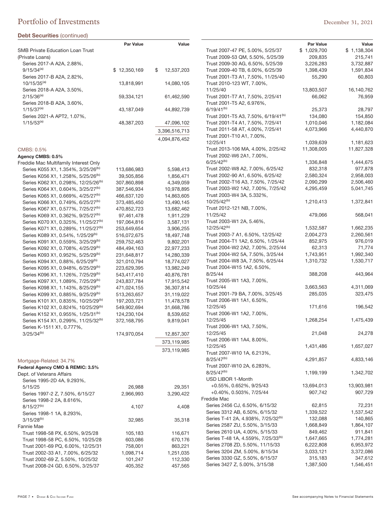#### **Debt Securities** (continued)

|                                                 | Par Value    | Value            |
|-------------------------------------------------|--------------|------------------|
| SMB Private Education Loan Trust                |              |                  |
| (Private Loans)                                 |              |                  |
| Series 2017-A A2A, 2.88%,                       |              |                  |
| $9/15/34^{(a)}$                                 | \$12,350,169 | \$<br>12,537,203 |
| Series 2017-B A2A, 2.82%,                       |              |                  |
| $10/15/35^{(a)}$                                |              |                  |
|                                                 | 13,818,991   | 14,080,105       |
| Series 2018-A A2A, 3.50%,                       |              |                  |
| $2/15/36^{(a)}$                                 | 59,334,121   | 61,462,590       |
| Series 2018-B A2A, 3.60%,                       |              |                  |
| $1/15/37^{(a)}$                                 | 43,187,049   | 44,892,739       |
| Series 2021-A APT2, 1.07%,                      |              |                  |
| $1/15/53^{(a)}$                                 | 48,387,203   | 47,096,102       |
|                                                 |              |                  |
|                                                 |              | 3,396,516,713    |
|                                                 |              | 4,094,876,452    |
|                                                 |              |                  |
| CMBS: 0.5%                                      |              |                  |
| Agency CMBS: 0.5%                               |              |                  |
| Freddie Mac Multifamily Interest Only           |              |                  |
| Series K055 X1, 1.354%, 3/25/26 <sup>(b)</sup>  | 113,686,983  | 5,598,413        |
| Series K056 X1, 1.258%, 5/25/26 <sup>(b)</sup>  | 39,505,856   | 1,856,471        |
| Series K062 X1, 0.298%, 12/25/26 <sup>(b)</sup> | 307,860,898  | 4,349,059        |
| Series K064 X1, 0.604%, 3/25/27 <sup>(b)</sup>  | 387,546,934  | 10,978,895       |
| Series K065 X1, 0.669%, 4/25/27 <sup>(b)</sup>  |              |                  |
|                                                 | 466,637,120  | 14,863,605       |
| Series K066 X1, 0.749%, 6/25/27 <sup>(b)</sup>  | 373,485,450  | 13,490,145       |
| Series K067 X1, 0.577%, 7/25/27 <sup>(b)</sup>  | 470,852,723  | 13,682,462       |
| Series K069 X1, 0.362%, 9/25/27 <sup>(b)</sup>  | 97,461,478   | 1,911,229        |
| Series K070 X1, 0.325%, 11/25/27 <sup>(b)</sup> | 197,064,816  | 3,587,131        |
| Series K071 X1, 0.289%, 11/25/27 <sup>(b)</sup> | 253,649,654  | 3,906,255        |
| Series K089 X1, 0.54%, 1/25/29(b)               | 516,072,675  | 18,497,748       |
| Series K091 X1, 0.559%, 3/25/29 <sup>(b)</sup>  | 259,752,463  | 9,802,201        |
| Series K092 X1, 0.708%, 4/25/29 <sup>(b)</sup>  | 484,494,163  | 22,977,233       |
| Series K093 X1, 0.952%, 5/25/29 <sup>(b)</sup>  | 231,648,817  | 14,280,339       |
|                                                 |              |                  |
| Series K094 X1, 0.88%, 6/25/29 <sup>(b)</sup>   | 321,010,794  | 18,774,027       |
| Series K095 X1, 0.948%, 6/25/29 <sup>(b)</sup>  | 223,629,395  | 13,982,249       |
| Series K096 X1, 1.126%, 7/25/29 <sup>(b)</sup>  | 543,417,410  | 40,876,781       |
| Series K097 X1, 1.089%, 7/25/29 <sup>(b)</sup>  | 243,837,784  | 17,915,542       |
| Series K098 X1, 1.143%, 8/25/29 <sup>(b)</sup>  | 471,024,155  | 36,307,814       |
| Series K099 X1, 0.885%, 9/25/29 <sup>(b)</sup>  | 513,263,657  | 31,119,022       |
| Series K101 X1, 0.835%, 10/25/29 <sup>(b)</sup> | 197,203,721  | 11,478,578       |
| Series K102 X1, 0.824%, 10/25/29 <sup>(b)</sup> | 549,902,694  | 31,668,786       |
| Series K152 X1, 0.955%, 1/25/31 <sup>(b)</sup>  | 124,230,104  | 8,539,652        |
| Series K154 X1, 0.299%, 11/25/32 <sup>(b)</sup> | 372,168,795  | 9,819,041        |
| Series K-1511 X1, 0.777%,                       |              |                  |
| $3/25/34^{(b)}$                                 |              |                  |
|                                                 | 174,970,054  | 12,857,307       |
|                                                 |              | 373,119,985      |
|                                                 |              | 373,119,985      |
|                                                 |              |                  |
| Mortgage-Related: 34.7%                         |              |                  |
| Federal Agency CMO & REMIC: 3.5%                |              |                  |
| Dept. of Veterans Affairs                       |              |                  |
| Series 1995-2D 4A, 9.293%,                      |              |                  |
| 5/15/25                                         | 26,988       | 29,351           |
| Series 1997-2 Z, 7.50%, 6/15/27                 | 2,966,993    | 3,290,422        |
|                                                 |              |                  |
| Series 1998-2 2A, 8.616%,                       |              |                  |
| $8/15/27^{(b)}$                                 | 4,107        | 4,408            |
| Series 1998-1 1A, 8.293%,                       |              |                  |
| $3/15/28^{(b)}$                                 | 32,985       | 35,318           |
| Fannie Mae                                      |              |                  |
| Trust 1998-58 PX, 6.50%, 9/25/28                | 105,183      | 116,671          |
| Trust 1998-58 PC, 6.50%, 10/25/28               | 603,086      | 670,176          |
| Trust 2001-69 PQ, 6.00%, 12/25/31               | 758,001      | 863,221          |
| Trust 2002-33 A1, 7.00%, 6/25/32                | 1,098,714    | 1,251,035        |
| Trust 2002-69 Z, 5.50%, 10/25/32                | 101,247      | 112,330          |
|                                                 |              |                  |
| Trust 2008-24 GD, 6.50%, 3/25/37                | 405,352      | 457,565          |

|                                                 | Par Value            | Value       |
|-------------------------------------------------|----------------------|-------------|
| Trust 2007-47 PE, 5.00%, 5/25/37                | \$1,029,700          | \$1,138,304 |
| Trust 2009-53 QM, 5.50%, 5/25/39                | 209,835              | 215,741     |
| Trust 2009-30 AG, 6.50%, 5/25/39                | 3,226,283            | 3,732,887   |
| Trust 2009-40 TB, 6.00%, 6/25/39                | 1,398,439            | 1,591,834   |
| Trust 2001-T3 A1, 7.50%, 11/25/40               | 55,290               | 60,803      |
| Trust 2010-123 WT, 7.00%,                       |                      |             |
| 11/25/40                                        | 13,803,507           | 16,140,762  |
| Trust 2001-T7 A1, 7.50%, 2/25/41                | 66,062               | 76,959      |
| Trust 2001-T5 A2, 6.976%,                       |                      |             |
| 6/19/41 <sup>(b)</sup>                          | 25,373               | 28,797      |
| Trust 2001-T5 A3, 7.50%, 6/19/41 <sup>(b)</sup> | 134,080              | 154,850     |
| Trust 2001-T4 A1, 7.50%, 7/25/41                | 1,010,046            | 1,182,084   |
| Trust 2011-58 AT, 4.00%, 7/25/41                | 4,073,966            | 4,440,870   |
| Trust 2001-T10 A1, 7.00%,                       |                      |             |
| 12/25/41                                        | 1,039,639            | 1,181,623   |
| Trust 2013-106 MA, 4.00%, 2/25/42               | 11,308,005           | 11,827,328  |
| Trust 2002-W6 2A1, 7.00%,                       |                      |             |
| $6/25/42^{(b)}$                                 |                      |             |
|                                                 | 1,336,848<br>832,318 | 1,444,675   |
| Trust 2002-W8 A2, 7.00%, 6/25/42                |                      | 977,878     |
| Trust 2002-90 A1, 6.50%, 6/25/42                | 2,580,324            | 2,958,003   |
| Trust 2002-T16 A3, 7.50%, 7/25/42               | 2,090,299            | 2,506,460   |
| Trust 2003-W2 1A2, 7.00%, 7/25/42               | 4,295,459            | 5,041,745   |
| Trust 2003-W4 3A, 5.332%,                       |                      |             |
| 10/25/42 <sup>(b)</sup>                         | 1,210,413            | 1,372,841   |
| Trust 2012-121 NB, 7.00%,                       |                      |             |
| 11/25/42                                        | 479,066              | 568,041     |
| Trust 2003-W1 2A, 5.46%,                        |                      |             |
| 12/25/42 <sup>(b)</sup>                         | 1,532,587            | 1,662,235   |
| Trust 2003-7 A1, 6.50%, 12/25/42                | 2,004,273            | 2,260,561   |
| Trust 2004-T1 1A2, 6.50%, 1/25/44               | 852,975              | 976,019     |
| Trust 2004-W2 2A2, 7.00%, 2/25/44               | 62,313               | 71,774      |
| Trust 2004-W2 5A, 7.50%, 3/25/44                | 1,743,951            | 1,992,340   |
| Trust 2004-W8 3A, 7.50%, 6/25/44                | 1,310,732            | 1,530,717   |
| Trust 2004-W15 1A2, 6.50%,                      |                      |             |
| 8/25/44                                         | 388,208              | 443,964     |
| Trust 2005-W1 1A3, 7.00%,                       |                      |             |
| 10/25/44                                        | 3,663,563            | 4,311,069   |
| Trust 2001-79 BA, 7.00%, 3/25/45                | 285,035              | 323,475     |
| Trust 2006-W1 1A1, 6.50%,                       |                      |             |
| 12/25/45                                        | 171,616              | 196,542     |
| Trust 2006-W1 1A2, 7.00%,                       |                      |             |
| 12/25/45                                        | 1,268,254            | 1,475,439   |
| Trust 2006-W1 1A3, 7.50%,                       |                      |             |
| 12/25/45                                        | 21,048               | 24,278      |
| Trust 2006-W1 1A4, 8.00%,                       |                      |             |
| 12/25/45                                        | 1,431,486            | 1,657,027   |
| Trust 2007-W10 1A, 6.213%,                      |                      |             |
| 8/25/47 <sup>(b)</sup>                          | 4,291,857            | 4,833,146   |
| Trust 2007-W10 2A, 6.283%,                      |                      |             |
| 8/25/47 <sup>(b)</sup>                          | 1,199,199            | 1,342,702   |
| USD LIBOR 1-Month                               |                      |             |
| +0.55%, 0.652%, 9/25/43                         | 13,694,013           | 13,903,981  |
| +0.40%, 0.503%, 7/25/44                         | 907,742              | 907,729     |
| Freddie Mac                                     |                      |             |
| Series 2456 CJ, 6.50%, 6/15/32                  | 62,815               | 72,231      |
| Series 3312 AB, 6.50%, 6/15/32                  | 1,339,522            | 1,537,542   |
| Series T-41 2A, 4.938%, 7/25/32 <sup>(b)</sup>  | 132,088              | 140,865     |
| Series 2587 ZU, 5.50%, 3/15/33                  | 1,668,849            | 1,864,107   |
| Series 2610 UA, 4.00%, 5/15/33                  | 849,462              | 911,841     |
| Series T-48 1A, 4.559%, 7/25/33 <sup>(b)</sup>  | 1,647,665            | 1,774,281   |
| Series 2708 ZD, 5.50%, 11/15/33                 | 6,222,808            | 6,953,972   |
| Series 3204 ZM, 5.00%, 8/15/34                  | 3,033,121            | 3,372,086   |
| Series 3330 GZ, 5.50%, 6/15/37                  | 315,183              | 347,612     |
| Series 3427 Z, 5.00%, 3/15/38                   | 1,387,500            | 1,546,451   |

PAGE 7 . DODGE & COX INCOME FUND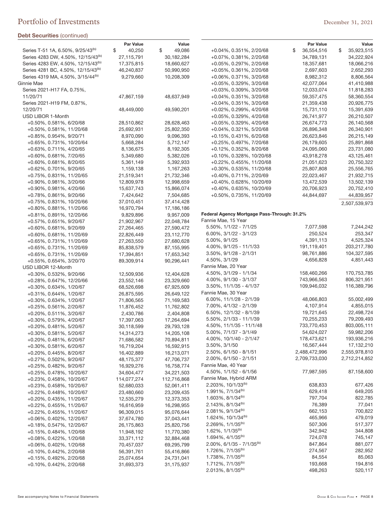|                                                | <b>Par Value</b> | Value        |                                             | Par Value        | Value            |
|------------------------------------------------|------------------|--------------|---------------------------------------------|------------------|------------------|
| Series T-51 1A, 6.50%, 9/25/43 <sup>(b)</sup>  | \$<br>40,250     | \$<br>49,086 | +0.04%, 0.351%, 2/20/68                     | 36,554,516<br>\$ | 35,923,515<br>\$ |
| Series 4283 DW, 4.50%, 12/15/43 <sup>(b)</sup> | 27,115,791       | 30,182,284   | +0.07%, 0.381%, 2/20/68                     | 34,789,131       | 34,222,924       |
| Series 4283 EW, 4.50%, 12/15/43 <sup>(b)</sup> | 17,375,815       | 18,660,627   | +0.05%, 0.297%, 2/20/68                     | 18,357,681       | 18,066,216       |
| Series 4281 BC, 4.50%, 12/15/43 <sup>(b)</sup> | 46,240,837       | 50,990,950   | +0.05%, 0.361%, 2/20/68                     | 2,697,603        | 2,652,293        |
| Series 4319 MA, 4.50%, 3/15/44 <sup>(b)</sup>  | 9,279,660        | 10,208,309   | +0.06%, 0.371%, 3/20/68                     | 8,982,312        | 8,806,564        |
| Ginnie Mae                                     |                  |              | +0.05%, 0.329%, 3/20/68                     | 42,077,064       | 41,410,988       |
| Series 2021-H17 FA, 0.75%,                     |                  |              | +0.03%, 0.309%, 3/20/68                     | 12,033,074       | 11,818,283       |
| 11/20/71                                       | 47,867,159       | 48,637,949   | +0.04%, 0.351%, 3/20/68                     | 59,357,475       | 58,360,554       |
| Series 2021-H19 FM, 0.87%,                     |                  |              | +0.04%, 0.351%, 3/20/68                     | 21,359,438       | 20,926,775       |
| 12/20/71                                       | 48,449,000       | 49,590,201   | $+0.02\%$ , 0.299%, 4/20/68                 | 15,731,110       | 15,391,639       |
| USD LIBOR 1-Month                              |                  |              | +0.05%, 0.329%, 4/20/68                     | 26,741,977       | 26,210,507       |
| +0.50%, 0.581%, 6/20/68                        | 28,510,862       | 28,628,463   | +0.05%, 0.329%, 4/20/68                     | 26,674,773       | 26,140,568       |
| +0.50%, 0.581%, 11/20/68                       | 25,692,931       | 25,802,350   | +0.04%, 0.321%, 5/20/68                     | 26,896,348       | 26,340,901       |
| +0.85%, 0.954%, 9/20/71                        | 8,970,090        | 9,096,393    | +0.15%, 0.431%, 6/20/68                     | 26,623,846       | 26,215,149       |
| +0.65%, 0.731%, 10/20/64                       | 5,668,284        | 5,712,147    | +0.25%, 0.497%, 7/20/68                     | 26,179,605       | 25,891,868       |
| $+0.63\%$ , 0.711%, 4/20/65                    | 8,136,675        | 8,192,305    | +0.12%, 0.352%, 8/20/68                     | 24,095,060       | 23,731,080       |
| +0.60%, 0.681%, 7/20/65                        | 5,349,680        | 5,382,026    | +0.10%, 0.328%, 10/20/68                    | 43,918,278       | 43,125,461       |
| $+0.60\%$ , 0.681%, 8/20/65                    | 5,361,149        | 5,392,933    | +0.22%, 0.455%, 11/20/68                    | 21,051,623       | 20,750,322       |
| +0.62%, 0.701%, 9/20/65                        | 1,159,138        | 1,167,263    | +0.30%, 0.535%, 11/20/68                    | 25,807,808       | 25,556,765       |
| +0.75%, 0.831%, 11/20/65                       | 21,519,341       | 21,732,346   | +0.40%, 0.711%, 2/20/69                     | 22,023,467       | 21,932,715       |
| $+0.90\%$ , 0.981%, 3/20/66                    | 12,809,978       | 12,998,659   | +0.40%, 0.628%, 10/20/69                    | 13,472,539       | 13,502,139       |
| +0.90%, 0.981%, 4/20/66                        | 15,637,743       | 15,866,074   | +0.40%, 0.635%, 10/20/69                    | 20,706,923       | 20,752,410       |
| +0.78%, 0.861%, 9/20/66                        | 7,424,642        | 7,504,685    | +0.50%, 0.735%, 11/20/69                    | 44,844,697       | 44,839,957       |
| +0.75%, 0.831%, 10/20/66                       | 37,010,451       | 37,414,428   |                                             |                  | 2,507,539,973    |
| +0.80%, 0.881%, 11/20/66                       | 16,970,794       | 17,186,186   |                                             |                  |                  |
| +0.81%, 0.891%, 12/20/66                       | 9,829,896        | 9,957,009    | Federal Agency Mortgage Pass-Through: 31.2% |                  |                  |
| +0.57%, 0.651%, 9/20/67                        | 21,902,967       | 22,048,784   | Fannie Mae, 15 Year                         |                  |                  |
| +0.60%, 0.681%, 9/20/69                        | 27,264,465       | 27,590,472   | $5.50\%$ , $1/1/22 - 7/1/25$                | 7,077,598        | 7,244,242        |
| +0.60%, 0.681%, 11/20/69                       | 22,826,449       | 23,112,770   | $6.00\%$ , $3/1/22 - 3/1/23$                | 250,524          | 253,347          |
| +0.65%, 0.731%, 11/20/69                       | 27,263,550       | 27,680,628   | 5.00%, 9/1/25                               | 4,391,113        | 4,525,324        |
| +0.65%, 0.731%, 11/20/69                       | 85,838,579       | 87,155,995   | 4.00%, 9/1/25 - 11/1/33                     | 191,119,401      | 203,217,780      |
| +0.65%, 0.731%, 11/20/69                       | 17,394,851       | 17,653,342   | $3.50\%$ , $9/1/28$ - $2/1/31$              | 98,761,886       | 104,327,595      |
| +0.55%, 0.654%, 3/20/70                        | 89,309,914       | 90,296,441   | 4.50%, 3/1/29                               | 4,656,828        | 4,851,443        |
| USD LIBOR 12-Month                             |                  |              | Fannie Mae, 20 Year                         |                  |                  |
| +0.30%, 0.532%, 9/20/66                        | 12,509,936       | 12,404,628   | 4.50%, 3/1/29 - 1/1/34                      | 158,460,266      | 170,753,785      |
| +0.28%, 0.647%, 12/20/66                       | 23,552,146       | 23,329,660   | 4.00%, 9/1/30 - 3/1/37                      | 743,966,563      | 806,321,951      |
| +0.30%, 0.634%, 1/20/67                        | 68,526,698       | 67,925,609   | $3.50\%$ , $11/1/35 - 4/1/37$               | 109,946,032      | 116,389,796      |
| +0.31%, 0.644%, 1/20/67                        | 26,875,595       | 26,649,122   | Fannie Mae, 30 Year                         |                  |                  |
| +0.30%, 0.634%, 1/20/67                        | 71,806,565       | 71,169,583   | $6.00\%$ , $11/1/28 - 2/1/39$               | 48,066,803       | 55,002,499       |
| +0.25%, 0.561%, 2/20/67                        | 11,876,452       | 11,762,802   | 7.00%, 4/1/32 - 2/1/39                      | 4,107,914        | 4,855,015        |
| +0.20%, 0.511%, 3/20/67                        | 2,430,786        | 2,404,808    | 6.50%, 12/1/32 - 8/1/39                     | 19,721,645       | 22,498,724       |
| +0.30%, 0.579%, 4/20/67                        | 17,397,063       | 17,264,694   | 5.50%, 2/1/33 - 11/1/39                     | 70,255,233       | 79,209,493       |
| +0.20%, 0.481%, 5/20/67                        | 30,118,599       | 29,793,128   | 4.50%, 11/1/35 - 11/1/48                    | 733,770,453      | 803,005,111      |
| +0.30%, 0.581%, 5/20/67                        | 14,314,273       | 14,205,108   | 5.00%, 7/1/37 - 3/1/49                      | 54,624,027       | 59,982,206       |
| +0.20%, 0.481%, 6/20/67                        | 71,686,582       | 70,894,811   | 4.00%, 10/1/40 - 2/1/47                     | 178,473,621      | 193,936,216      |
| +0.30%, 0.581%, 6/20/67                        | 16,719,204       | 16,592,915   | $3.50\%, 3/1/50$                            | 16,567,444       | 17,132,210       |
| +0.20%, 0.445%, 8/20/67                        | 16,402,889       | 16,213,071   | 2.50%, 6/1/50 - 8/1/51                      | 2,488,472,996    | 2,555,978,810    |
| +0.27%, 0.502%, 9/20/67                        | 48,175,377       | 47,706,737   | 2.00%, 6/1/50 - 2/1/51                      | 2,709,733,030    | 2,712,214,852    |
| $+0.25\%$ , 0.482%, 9/20/67                    | 16,929,276       | 16,758,774   | Fannie Mae, 40 Year                         |                  |                  |
| +0.25%, 0.478%, 10/20/67                       | 34,604,477       | 34,221,503   | 4.50%, 1/1/52 - 6/1/56                      | 77,987,595       | 87,158,600       |
| +0.23%, 0.458%, 10/20/67                       | 114,077,274      | 112,716,868  | Fannie Mae, Hybrid ARM                      |                  |                  |
| +0.23%, 0.458%, 10/20/67                       | 52,680,033       | 52,061,411   | $2.203\%$ , 10/1/33 <sup>(b)</sup>          | 638,833          | 677,426          |
| +0.22%, 0.448%, 10/20/67                       | 23,480,660       | 23,209,435   | $1.991\%, 7/1/34^{(b)}$                     | 629,418          | 649,205          |
| +0.20%, 0.435%, 11/20/67                       | 12,535,279       | 12,373,353   | $1.603\%, 8/1/34^{(b)}$                     | 797,704          | 822,785          |
| +0.22%, 0.455%, 11/20/67                       | 16,616,959       | 16,298,955   | $2.143\%, 8/1/34^{(6)}$                     | 76,389           | 77,041           |
| +0.22%, 0.455%, 11/20/67                       | 96,309,015       | 95,076,644   | $2.081\%, 9/1/34^{(b)}$                     | 662,153          | 700,822          |
| +0.06%, 0.402%, 12/20/67                       | 37,674,780       | 37,043,441   | 1.624%, 10/1/34 <sup>(b)</sup>              | 465,966          | 479,019          |
| +0.18%, 0.547%, 12/20/67                       | 26,175,863       | 25,820,756   | $2.269\%, 1/1/35^{(b)}$                     | 507,306          | 517,377          |
| +0.15%, 0.484%, 1/20/68                        | 11,948,192       | 11,770,380   | $1.62\%$ , $1/1/35^{(b)}$                   | 342,942          | 344,808          |
| +0.08%, 0.422%, 1/20/68                        | 33,371,112       | 32,884,468   | $1.694\%, \frac{4}{1.35}$ <sup>(b)</sup>    | 724,078          | 745,147          |
| $+0.06\%$ , 0.402%, 1/20/68                    | 70,457,037       | 69,295,799   | $2.00\%$ , 6/1/35 - 7/1/35 <sup>(b)</sup>   | 847,864          | 881,077          |
| $+0.10\%$ , 0.442%, 2/20/68                    | 56,391,761       | 55,416,866   | $1.726\%, 7/1/35^{(b)}$                     | 274,567          | 282,952          |
| +0.15%, 0.492%, 2/20/68                        | 25,074,654       | 24,731,041   | $1.738\%, 7/1/35^{(b)}$                     | 84,554           | 85,063           |
| +0.10%, 0.442%, 2/20/68                        | 31,693,373       | 31,175,937   | $1.712\%, 7/1/35^{(b)}$                     | 193,668          | 194,816          |
|                                                |                  |              | $2.013\%, 8/1/35^{(b)}$                     | 498,263          | 520,117          |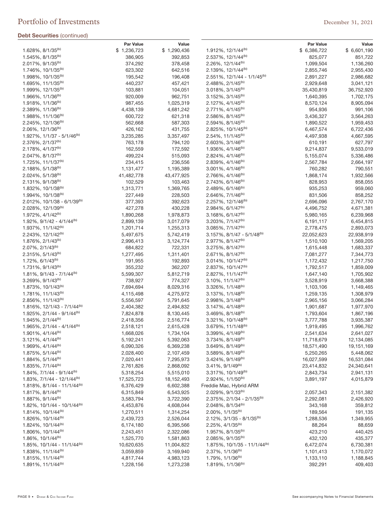| <b>Jebt Securities</b> (continued)                               |                        |                        |                                                                           |                         |                        |
|------------------------------------------------------------------|------------------------|------------------------|---------------------------------------------------------------------------|-------------------------|------------------------|
|                                                                  | Par Value              | Value                  |                                                                           | Par Value               | Value                  |
| 1.628%, 8/1/35 <sup>(b)</sup><br>1.545%, 8/1/35 <sup>(b)</sup>   | \$1,236,723            | \$1,290,436<br>392,853 | 1.912%, 12/1/44 <sup>(b)</sup><br>2.537%, 12/1/44 <sup>(b)</sup>          | \$ 6,386,722<br>825,077 | \$6,601,190<br>851,722 |
| $2.017\%$ , 9/1/35 <sup>(b)</sup>                                | 386,905                |                        | $2.26\%$ , 12/1/44 <sup>(b)</sup>                                         |                         |                        |
| $1.746\%, 10/1/35^{(b)}$                                         | 374,292<br>623,302     | 378,458<br>642,516     | 2.139%, 12/1/44 <sup>(b)</sup>                                            | 1,099,504<br>2,855,746  | 1,136,260<br>2,955,430 |
| 1.998%, $10/1/35^{(b)}$                                          | 195,542                | 196,408                | 2.551%, 12/1/44 - 1/1/45 <sup>(b)</sup>                                   | 2,891,227               | 2,986,682              |
| 1.695%, 11/1/35 <sup>(b)</sup>                                   | 440,237                | 457,421                | $2.488\%$ , $2/1/45^{(b)}$                                                | 2,929,648               | 3,041,121              |
| $1.999\%, 12/1/35^{(b)}$                                         | 103,881                | 104,051                | $3.018\%,\,3/1/45^{(b)}$                                                  | 35,430,819              | 36,752,920             |
| $1.966\%$ , $1/1/36^{(b)}$                                       | 920,009                | 962,751                | $3.152\%$ , $3/1/45^{(b)}$                                                | 1,640,395               | 1,702,175              |
| $1.918\%, 1/1/36^{(b)}$                                          | 987,455                | 1,025,319              | $2.127\%,\,4/1/45^{(b)}$                                                  | 8,570,124               | 8,905,094              |
| $2.389\%$ , $1/1/36^{(b)}$                                       | 4,438,139              | 4,681,242              | $2.771\%,\,4/1/45^{(b)}$                                                  | 954,936                 | 991,106                |
| 1.988%, $11/1/36^{(b)}$                                          | 600,722                | 621,318                | $2.586\%$ , $8/1/45^{(b)}$                                                | 3,436,327               | 3,564,263              |
| $2.245\%, 12/1/36^{(b)}$                                         | 562,668                | 587,303                | 2.594%, 8/1/45 <sup>(b)</sup>                                             | 1,890,522               | 1,959,453              |
| 2.06%, 12/1/36(b)                                                | 426,162                | 431,755                | 2.825%, 10/1/45 <sup>(b)</sup>                                            | 6,467,574               | 6,722,436              |
| 1.927%, 1/1/37 - 5/1/46 <sup>(b)</sup>                           | 3,235,285              | 3,357,497              | $2.54\%, 11/1/45^{(b)}$                                                   | 4,497,938               | 4,667,595              |
| 2.376%, 2/1/37 <sup>(b)</sup>                                    | 763,178                | 794,120                | $2.603\%, 3/1/46^{(b)}$                                                   | 610,191                 | 627,797                |
| $2.178\%, \frac{4}{1}{37^{(b)}}$                                 | 162,559                | 172,592                | 1.936%, 4/1/46 <sup>(b)</sup>                                             | 9,214,837               | 9,533,019              |
| $2.047\%$ , 8/1/37 <sup>(b)</sup>                                | 499,224                | 515,093                | 2.824%, 4/1/46 <sup>(b)</sup>                                             | 5,155,074               | 5,336,486              |
| $1.725\%$ , 11/1/37 <sup>(b)</sup>                               | 234,415                | 236,556                | $2.839\%, 4/1/46^{(b)}$                                                   | 2,567,784               | 2,664,197              |
| $2.188\%, 5/1/38^{(b)}$                                          | 1,131,477              | 1,195,389              | $3.001\%, \frac{4}{1/46}$ <sup>(b)</sup>                                  | 760,282                 | 790,551                |
| $2.024\%, 5/1/38^{(b)}$                                          | 41,482,778             | 43,477,925             | $2.766\%, 4/1/46^{(b)}$                                                   | 1,868,174               | 1,932,566              |
| $2.131\%, 9/1/38^{(b)}$                                          | 102,529                | 103,463                | 2.743%, 6/1/46 <sup>(b)</sup>                                             | 828,953                 | 858,055                |
| $1.832\%$ , 10/1/38 <sup>(b)</sup>                               | 1,313,771              | 1,369,765              | 2.489%, 6/1/46 <sup>(b)</sup>                                             | 935,253                 | 959,060                |
| $1.994\%$ , $10/1/38^{(b)}$                                      | 227,449                | 228,503                | $2.646\%, 7/1/46^{(b)}$                                                   | 831,506                 | 858,252                |
| $2.012\%$ , 10/1/38 - 6/1/39 <sup>(b)</sup>                      | 377,393                | 392,623                | 2.257%, 12/1/46 <sup>(b)</sup>                                            | 2,696,096               | 2,767,170              |
| $2.028\%, 12/1/39^{(b)}$                                         | 427,278                | 430,228                | 2.984%, 6/1/47 <sup>(b)</sup>                                             | 4,496,752               | 4,671,381              |
| $1.972\%$ , $4/1/42^{(b)}$                                       | 1,890,268              | 1,978,873              | $3.168\%$ , 6/1/47 <sup>(b)</sup>                                         | 5,980,165               | 6,239,968              |
| $1.92\%$ , $9/1/42 - 4/1/44^{(b)}$                               | 2,899,139              | 3,017,079              | $3.203\%, 7/1/47^{(b)}$                                                   | 6,191,117               | 6,454,815              |
| 1.937%, $11/1/42^{(b)}$                                          | 1,201,714              | 1,255,313              | $3.085\%, 7/1/47^{(b)}$                                                   | 2,778,475               | 2,893,073              |
| $2.243\%, 12/1/42^{(b)}$                                         | 5,497,675              | 5,742,419              | $3.157\%$ , $8/1/47 - 5/1/48^{(b)}$                                       | 22,052,623              | 22,938,919             |
| $1.876\%$ , $2/1/43^{(b)}$                                       | 2,996,413              | 3,124,774              | 2.977%, 8/1/47 <sup>(b)</sup>                                             | 1,510,100               | 1,569,205              |
| $2.07\%$ , $2/1/43^{(b)}$                                        | 684,822                | 722,331                | $3.275\%, 8/1/47^{(b)}$                                                   | 1,615,448               | 1,683,337              |
| $2.315\%, 5/1/43^{(b)}$                                          | 1,277,495              | 1,311,401              | $2.671\%,\,8/1/47^{(b)}$                                                  | 7,081,277               | 7,344,773              |
| $1.72\%$ , 6/1/43 <sup>(b)</sup>                                 | 191,955                | 192,893                | 3.014%, 10/1/47 <sup>(b)</sup>                                            | 1,172,432               | 1,217,750              |
| $1.731\%$ , 9/1/43 <sup>(b)</sup>                                | 355,232                | 362,207                | 2.837%, 10/1/47 <sup>(b)</sup>                                            | 1,792,517               | 1,859,009              |
| $1.81\%$ , 9/1/43 - 7/1/44 <sup>(b)</sup>                        | 5,599,307              | 5,812,719              | $2.827\%$ , 11/1/47 <sup>(b)</sup>                                        | 1,647,140               | 1,705,902              |
| $3.269\%$ , $9/1/43^{(b)}$                                       | 738,927                | 774,327                | 3.10%, 11/1/47 <sup>(b)</sup>                                             | 3,528,919               | 3,668,388              |
| 1.873%, 10/1/43 <sup>(b)</sup>                                   | 7,694,694              | 8,029,316              | $3.326\%, 1/1/48^{(b)}$                                                   | 1,103,106               | 1,149,465              |
| $1.781\%$ , $11/1/43^{(b)}$                                      | 4,115,498              | 4,275,972              | $3.137\%, 1/1/48^{(b)}$                                                   | 1,259,135               | 1,308,979              |
| 2.856%, 11/1/43 <sup>(b)</sup>                                   | 5,556,597              | 5,791,645              | 2.998%, 3/1/48(b)                                                         | 2,965,156               | 3,066,284              |
| $1.816\%, 12/1/43 - 7/1/44^{(b)}$                                | 2,404,382              | 2,494,832              | $3.147\%,\,4/1/48^{(b)}$                                                  | 1,901,687               | 1,977,970              |
| $1.925\%, 2/1/44 - 9/1/44^{(b)}$                                 | 7,824,878              | 8,130,445              | $3.469\%, 8/1/48^{(b)}$                                                   | 1,793,604               | 1,867,196              |
| $1.945\%, 2/1/44^{(b)}$                                          | 2,418,356              | 2,516,774              | $3.321\%$ , 10/1/48 <sup>(b)</sup>                                        | 3,777,788               | 3,935,387              |
| 1.965%, 2/1/44 - 4/1/44 <sup>(b)</sup>                           | 2,518,121              | 2,615,428              | 3.679%, 11/1/48(b)                                                        | 1,919,495               | 1,996,762              |
| $1.901\%, \frac{4}{1.44}$ <sup>(b)</sup>                         | 1,668,026              | 1,734,104              | $3.399\%,\ 4/1/49^{(b)}$                                                  | 2,541,634               | 2,641,027              |
| 3.121%, 4/1/44 <sup>(b)</sup>                                    | 5,192,241              | 5,392,063              | 3.734%, 8/1/49 <sup>(b)</sup>                                             | 11,718,679              | 12,134,085             |
| 1.969%, 4/1/44 <sup>(b)</sup>                                    | 6,090,326              | 6,369,238              | $3.649\%, 8/1/49^{(b)}$                                                   | 18,571,490              | 19,151,169             |
| 1.875%, 5/1/44 <sup>(b)</sup>                                    | 2,028,400              | 2,107,459              | $3.589\%, 8/1/49^{(b)}$                                                   | 5,250,265               | 5,448,062              |
| $1.884\%, 5/1/44^{(b)}$                                          | 7,020,441              | 7,295,973              | $3.424\%, 9/1/49^{(b)}$                                                   | 16,027,599              | 16,531,084             |
| 1.835%, 7/1/44 <sup>(b)</sup>                                    | 2,761,826              | 2,868,092              | 3.41%, 9/1/49 <sup>(b)</sup>                                              | 23,414,832              | 24,340,641             |
| 1.84%, $7/1/44 - 9/1/44^{(b)}$                                   | 5,318,254              | 5,515,010              | $3.317\%$ , $10/1/49^{(b)}$                                               | 2,843,734               | 2,941,131              |
| $1.83\%$ , $7/1/44 - 12/1/44^{(b)}$                              | 17,525,723             | 18,152,493             | 2.924%, 1/1/50 <sup>(b)</sup>                                             | 3,891,197               | 4,015,879              |
| 1.818%, 8/1/44 - 11/1/44 <sup>(b)</sup>                          | 6,376,429              | 6,602,388              | Freddie Mac, Hybrid ARM                                                   |                         |                        |
| 1.817%, 8/1/44 <sup>(b)</sup>                                    | 6,315,849              | 6,543,925              | $2.029\%, 9/1/33^{(b)}$                                                   | 2,057,343               | 2,151,382              |
| $1.887\%$ , 9/1/44 <sup>(b)</sup>                                | 3,583,794              | 3,722,390              | $2.375\%$ , $2/1/34 - 2/1/35^{(b)}$                                       | 2,292,081               | 2,426,920              |
| $1.82\%$ , $10/1/44 - 10/1/44^{(b)}$                             | 4,453,876              | 4,608,044              | $2.048\%, 8/1/34^{(b)}$<br>$2.00\%$ , $1/1/35^{(b)}$                      | 343,168                 | 359,812                |
| $1.814\%, 10/1/44^{(b)}$                                         | 1,270,511              | 1,314,254              |                                                                           | 189,564                 | 191,135                |
| 1.826%, 10/1/44 <sup>(b)</sup><br>1.824%, 10/1/44 <sup>(b)</sup> | 2,439,723<br>6,174,180 | 2,526,044<br>6,395,566 | $2.12\%$ , 3/1/35 - 8/1/35 <sup>(b)</sup><br>2.25%, 4/1/35 <sup>(b)</sup> | 1,288,536<br>88,264     | 1,349,955<br>88,659    |
| 1.806%, $10/1/44^{(b)}$                                          |                        |                        | $1.957\%$ , $8/1/35^{(b)}$                                                | 423,210                 | 440,425                |
| $1.86\%, 10/1/44^{(b)}$                                          | 2,243,451<br>1,525,770 | 2,322,086<br>1,581,863 | $2.085\%, 9/1/35^{(b)}$                                                   | 432,120                 | 435,377                |
| $1.85\%$ , $10/1/44 - 11/1/44^{(b)}$                             | 10,620,635             | 11,004,822             | $1.875\%$ , $10/1/35 - 11/1/44^{(b)}$                                     | 6,472,074               | 6,730,381              |
| 1.838%, $11/1/44^{(b)}$                                          | 3,059,859              | 3,169,940              | $2.37\%$ , $1/1/36^{(b)}$                                                 | 1,101,413               | 1,170,072              |
| 1.815%, 11/1/44 <sup>(b)</sup>                                   | 4,817,744              | 4,983,123              | 1.79%, $1/1/36^{(b)}$                                                     | 1,133,110               | 1,188,845              |
| 1.891%, $11/1/44^{(b)}$                                          | 1,228,156              | 1,273,238              | 1.819%, 1/1/36 <sup>(b)</sup>                                             | 392,291                 | 409,403                |
|                                                                  |                        |                        |                                                                           |                         |                        |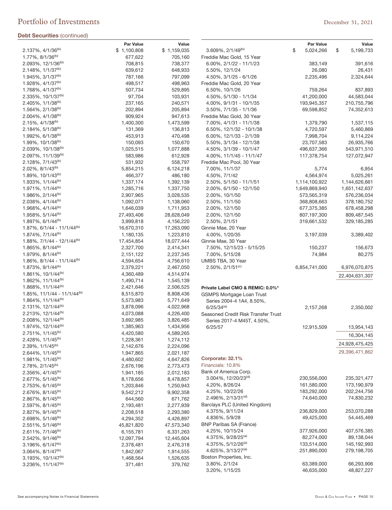|                                            | Par Value   | Value       |                                     | Par Value       | Value           |
|--------------------------------------------|-------------|-------------|-------------------------------------|-----------------|-----------------|
| $2.137\%$ , $4/1/36^{(b)}$                 | \$1,100,808 | \$1,159,035 | $3.609\%$ , $2/1/49^{(b)}$          | \$<br>5,024,266 | \$<br>5,199,733 |
| 1.77%, 8/1/36 <sup>(b)</sup>               | 677,622     | 705,160     | Freddie Mac Gold, 15 Year           |                 |                 |
| 2.093%, 12/1/36 <sup>(b)</sup>             | 708,815     | 738,377     | $6.00\%$ , $2/1/22 - 11/1/23$       | 383,149         | 391,616         |
| $2.148\%, 1/1/37^{(b)}$                    | 639,612     | 648,933     | 5.50%, 12/1/24                      | 26,080          | 26,431          |
| 1.945%, 3/1/37 <sup>(b)</sup>              | 787,166     | 797,099     | 4.50%, 3/1/25 - 6/1/26              | 2,235,496       | 2,324,644       |
| 1.928%, $4/1/37^{(b)}$                     | 498,517     | 498,963     | Freddie Mac Gold, 20 Year           |                 |                 |
| 1.768%, 4/1/37 <sup>(b)</sup>              | 507,734     | 529,895     | 6.50%, 10/1/26                      | 759,264         | 837,893         |
| 2.335%, 10/1/37 <sup>(b)</sup>             | 97,704      | 103,931     | 4.50%, 5/1/30 - 1/1/34              | 41,200,000      | 44,583,044      |
| 2.405%, 1/1/38 <sup>(b)</sup>              | 237,165     | 240,571     | 4.00%, 9/1/31 - 10/1/35             | 193,945,357     | 210,755,796     |
| 1.564%, 2/1/38 <sup>(b)</sup>              | 202,894     | 205,894     | $3.50\%$ , $7/1/35 - 1/1/36$        | 69,598,852      | 74,352,613      |
| 2.004%, 4/1/38 <sup>(b)</sup>              | 909,924     | 947,613     | Freddie Mac Gold, 30 Year           |                 |                 |
| $2.15\%, \frac{4}{138}$ (b)                | 1,400,300   | 1,473,599   | 7.00%, 4/1/31 - 11/1/38             | 1,379,790       | 1,537,115       |
| 2.184%, 5/1/38 <sup>(b)</sup>              | 131,369     | 136,813     | 6.50%, 12/1/32 - 10/1/38            | 4,720,597       | 5,460,869       |
| 1.992%, 6/1/38 <sup>(b)</sup>              | 453,913     | 470,498     | $6.00\%$ , $12/1/33 - 2/1/39$       | 7,998,704       | 9,114,224       |
| $1.99\%$ , $10/1/38^{(b)}$                 | 150,093     | 150,670     | 5.50%, 3/1/34 - 12/1/38             | 23,707,583      | 26,935,766      |
| 2.039%, 10/1/38 <sup>(b)</sup>             | 1,025,515   | 1,077,888   | 4.50%, 3/1/39 - 10/1/47             | 496,637,366     | 543,971,510     |
| 2.097%, 11/1/39 <sup>(b)</sup>             | 583,986     | 612,928     | $4.00\%$ , $11/1/45 - 11/1/47$      | 117,378,754     | 127,072,947     |
| $2.128\%, 7/1/43^{(b)}$                    | 531,932     | 558,797     | Freddie Mac Pool, 30 Year           |                 |                 |
| $2.02\%$ , 8/1/43 <sup>(b)</sup>           | 5,854,215   | 6,124,218   | 7.00%, 11/1/37                      | 5,774           | 6,954           |
| 1.89%, 10/1/43 <sup>(b)</sup>              | 466,377     | 486,180     | 4.50%, 7/1/42                       | 4,564,974       | 5,025,261       |
| 1.933%, 1/1/44 <sup>(b)</sup>              | 1,337,174   | 1,392,139   | $2.50\%$ , $5/1/50 - 11/1/51$       | 1,114,100,922   | 1,144,626,661   |
| 1.971%, 1/1/44 <sup>(b)</sup>              | 1,285,716   | 1,337,750   | 2.00%, 6/1/50 - 12/1/50             | 1,649,869,940   | 1,651,142,637   |
| 1.986%, 2/1/44 <sup>(b)</sup>              | 2,907,965   | 3,028,535   | 2.00%, 10/1/50                      | 573,565,319     | 576,236,034     |
| $2.038\%, \frac{4}{1}/44^{(b)}$            | 1,092,071   | 1,138,060   | 2.50%, 11/1/50                      | 368,808,663     | 378,180,752     |
| 1.968%, 4/1/44 <sup>(b)</sup>              | 1,646,039   | 1,711,953   | 2.00%, 12/1/50                      | 677,375,385     | 678,458,298     |
| 1.958%, 5/1/44 <sup>(b)</sup>              | 27,493,406  | 28,628,049  | 2.00%, 12/1/50                      | 807,197,300     | 809,487,545     |
| 1.897%, 6/1/44 <sup>(b)</sup>              | 3,999,818   | 4,156,220   | 2.50%, 2/1/51                       | 319,661,532     | 329,185,285     |
| $1.87\%$ , 6/1/44 - 11/1/44 <sup>(b)</sup> | 16,670,310  | 17,263,090  | Ginnie Mae, 20 Year                 |                 |                 |
| 1.874%, 7/1/44 <sup>(b)</sup>              | 1,180,135   | 1,223,810   | 4.00%, 1/20/35                      | 3,197,039       | 3,389,402       |
| 1.88%, 7/1/44 - 12/1/44 <sup>(b)</sup>     | 17,454,854  | 18,077,444  | Ginnie Mae, 30 Year                 |                 |                 |
| 1.865%, 8/1/44 <sup>(b)</sup>              | 2,327,700   | 2,414,341   | 7.50%, 12/15/23 - 5/15/25           | 150,237         | 156,673         |
| 1.979%, 8/1/44 <sup>(b)</sup>              | 2,151,122   | 2,237,345   | 7.00%, 5/15/28                      | 74,984          | 80,275          |
| $1.86\%$ , $8/1/44 - 11/1/44^{(b)}$        | 4,594,654   | 4,756,610   | UMBS TBA, 30 Year                   |                 |                 |
| 1.873%, 9/1/44 <sup>(b)</sup>              | 2,379,221   | 2,467,050   | $2.50\%$ , $2/1/51^{(c)}$           | 6,854,741,000   | 6,976,070,875   |
| 1.861%, 10/1/44(b)                         | 4,360,489   | 4,514,974   |                                     |                 | 22,404,631,307  |
| 1.862%, $11/1/44^{(b)}$                    | 1,490,714   | 1,545,139   |                                     |                 |                 |
| 1.868%, 11/1/44 <sup>(b)</sup>             | 2,421,646   | 2,506,525   | Private Label CMO & REMIC: 0.0%*    |                 |                 |
| $1.85\%$ , $11/1/44 - 11/1/44^{(b)}$       | 8,515,870   | 8,808,436   | <b>GSMPS Mortgage Loan Trust</b>    |                 |                 |
| 1.864%, $11/1/44^{(b)}$                    | 5,573,983   | 5,771,649   | Series 2004-4 1A4, 8.50%,           |                 |                 |
| $2.131\%, 12/1/44^{(b)}$                   | 3,878,096   | 4,022,968   | $6/25/34^{(a)}$                     | 2,157,268       | 2,350,002       |
| 2.213%, 12/1/44 <sup>(b)</sup>             | 4,073,088   | 4,226,400   | Seasoned Credit Risk Transfer Trust |                 |                 |
| 2.008%, 12/1/44 <sup>(b)</sup>             | 3,692,985   | 3,826,485   | Series 2017-4 M45T, 4.50%,          |                 |                 |
| 1.974%, 12/1/44 <sup>(b)</sup>             | 1,385,963   | 1,434,956   | 6/25/57                             | 12,915,509      | 13,954,143      |
| 2.751%, 1/1/45 <sup>(b)</sup>              | 4,420,580   | 4,589,265   |                                     |                 | 16,304,145      |
| 2.428%, 1/1/45 <sup>(b)</sup>              | 1,228,361   | 1,274,112   |                                     |                 |                 |
| $2.39\%, 1/1/45^{(b)}$                     | 2,142,676   | 2,224,096   |                                     |                 | 24,928,475,425  |
| $2.644\%, 1/1/45^{(b)}$                    | 1,947,865   | 2,021,187   |                                     |                 | 29,396,471,862  |
| 1.981%, 1/1/45 <sup>(b)</sup>              | 4,480,602   | 4,647,826   | Corporate: 32.1%                    |                 |                 |
| $2.78\%, 2/1/45^{(b)}$                     | 2,676,196   | 2,773,473   | Financials: 10.8%                   |                 |                 |
| 2.356%, 4/1/45 <sup>(b)</sup>              | 1,941,185   | 2,012,183   | Bank of America Corp.               |                 |                 |
| 2.677%, 5/1/45 <sup>(b)</sup>              | 8,178,656   | 8,478,857   | $3.004\%$ , 12/20/23 <sup>(d)</sup> | 230,556,000     | 235,321,477     |
| $2.753\%$ , 6/1/45 <sup>(b)</sup>          | 1,203,846   | 1,250,943   | 4.20%, 8/26/24                      | 161,580,000     | 173,190,979     |
| 2.676%, 8/1/45 <sup>(b)</sup>              | 9,542,212   | 9,902,358   | 4.25%, 10/22/26                     | 183,292,000     | 202,244,756     |
| $2.867\%$ , $8/1/45^{(b)}$                 | 644,560     | 671,762     | 2.496%, 2/13/31 <sup>(d)</sup>      | 74,640,000      | 74,830,232      |
| $2.597\%$ , 8/1/45 <sup>(b)</sup>          | 2,193,481   | 2,277,939   | Barclays PLC (United Kingdom)       |                 |                 |
| 2.827%, 9/1/45 <sup>(b)</sup>              | 2,208,518   | 2,293,380   | 4.375%, 9/11/24                     | 236,829,000     | 253,070,288     |
| 2.698%, 5/1/46(b)                          | 4,294,352   | 4,426,897   | 4.836%, 5/9/28                      | 49,425,000      | 54,445,469      |
| 2.551%, 5/1/46 <sup>(b)</sup>              | 45,821,820  | 47,573,340  | <b>BNP Paribas SA (France)</b>      |                 |                 |
| $2.611\%, 7/1/46^{(b)}$                    | 6,155,781   | 6,331,263   | 4.25%, 10/15/24                     | 377,926,000     | 407,576,385     |
| 2.542%, 9/1/46 <sup>(b)</sup>              | 12,097,794  | 12,445,604  | $4.375\%$ , 9/28/25 <sup>(a)</sup>  | 82,274,000      | 89,138,044      |
| 3.196%, 6/1/47 <sup>(b)</sup>              | 2,378,481   | 2,476,318   | $4.375\%$ , 5/12/26 <sup>(a)</sup>  | 133,514,000     | 145,192,993     |
| $3.064\%$ , $8/1/47^{(b)}$                 | 1,842,067   | 1,914,555   | 4.625%, 3/13/27 <sup>(a)</sup>      | 251,890,000     | 279,198,705     |
| 3.193%, 10/1/47 <sup>(b)</sup>             | 1,468,564   | 1,526,635   | Boston Properties, Inc.             |                 |                 |
| $3.236\%$ , 11/1/47 <sup>(b)</sup>         | 371,481     | 379,762     | 3.80%, 2/1/24                       | 63,389,000      | 66,293,906      |
|                                            |             |             | 3.20%, 1/15/25                      | 46,635,000      | 48,827,227      |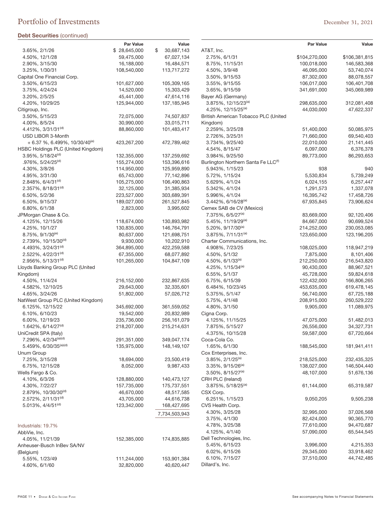|                                             | <b>Par Value</b> | Value            |                                                 | <b>Par Value</b> | Value         |
|---------------------------------------------|------------------|------------------|-------------------------------------------------|------------------|---------------|
| 3.65%, 2/1/26                               | \$28,645,000     | \$<br>30,687,143 | AT&T, Inc.                                      |                  |               |
| 4.50%, 12/1/28                              | 59,475,000       | 67,027,134       | 2.75%, 6/1/31                                   | \$104,270,000    | \$106,381,815 |
| 2.90%, 3/15/30                              | 16,188,000       | 16,484,571       | 8.75%, 11/15/31                                 | 100,018,000      | 146,583,368   |
| 3.25%, 1/30/31                              | 108,540,000      | 113,717,272      | 4.50%, 3/9/48                                   | 46,095,000       | 53,740,074    |
| Capital One Financial Corp.                 |                  |                  | 3.50%, 9/15/53                                  | 87,302,000       | 88,078,557    |
| 3.50%, 6/15/23                              | 101,627,000      | 105,309,165      | 3.55%, 9/15/55                                  | 106,017,000      | 106,401,708   |
| 3.75%, 4/24/24                              | 14,520,000       | 15,303,429       | 3.65%, 9/15/59                                  | 341,691,000      | 345,069,989   |
| 3.20%, 2/5/25                               | 45,441,000       | 47,614,116       | Bayer AG (Germany)                              |                  |               |
| 4.20%, 10/29/25                             | 125,944,000      | 137, 185, 945    | 3.875%, 12/15/23 <sup>(a)</sup>                 | 298,635,000      | 312,081,408   |
| Citigroup, Inc.                             |                  |                  | 4.25%, $12/15/25^{(a)}$                         | 44,030,000       | 47,622,337    |
| 3.50%, 5/15/23                              | 72,075,000       | 74,507,837       | British American Tobacco PLC (United            |                  |               |
| 4.00%, 8/5/24                               | 30,990,000       | 33,015,711       | Kingdom)                                        |                  |               |
| 4.412%, $3/31/31(d)$                        | 88,860,000       | 101,483,417      | 2.259%, 3/25/28                                 | 51,400,000       | 50,085,975    |
| USD LIBOR 3-Month                           |                  |                  | 2.726%, 3/25/31                                 | 71,660,000       | 69,540,403    |
| $+ 6.37$ %, 6.499%, 10/30/40 <sup>(e)</sup> | 423,267,200      | 472,789,462      | 3.734%, 9/25/40                                 | 22,010,000       | 21,141,445    |
| HSBC Holdings PLC (United Kingdom)          |                  |                  | 4.54%, 8/15/47                                  | 6,097,000        | 6,376,378     |
| $3.95\%, 5/18/24^{(d)}$                     | 132,355,000      | 137,259,692      | 3.984%, 9/25/50                                 | 89,773,000       | 86,293,653    |
| $.976\%$ , 5/24/25 <sup>(d)</sup>           | 155,274,000      | 153,396,616      | Burlington Northern Santa Fe LLC <sup>(f)</sup> |                  |               |
| 4.30%, 3/8/26                               | 114,950,000      | 125,959,890      | 5.943%, 1/15/23                                 | 938              | 940           |
| 4.95%, 3/31/30                              | 65,743,000       | 77,142,896       | 5.72%, 1/15/24                                  | 5,530,834        | 5,739,249     |
| $2.848\%$ , 6/4/31 <sup>(d)</sup>           | 105,275,000      | 106,490,863      | 5.629%, 4/1/24                                  | 6,024,155        | 6,257,447     |
| 2.357%, 8/18/31 <sup>(d)</sup>              | 32,125,000       | 31,385,934       | 5.342%, 4/1/24                                  | 1,291,573        | 1,337,078     |
| 6.50%, 5/2/36                               | 223,527,000      | 303,689,391      | 5.996%, 4/1/24                                  | 16,395,742       | 17,458,726    |
| 6.50%, 9/15/37                              | 189,027,000      | 261,527,845      | $3.442\%$ , 6/16/28 <sup>(a)</sup>              | 67,935,845       | 73,906,624    |
| 6.80%, 6/1/38                               | 2,823,000        | 3,995,602        | Cemex SAB de CV (Mexico)                        |                  |               |
| JPMorgan Chase & Co.                        |                  |                  | 7.375%, 6/5/27 <sup>(a)</sup>                   | 83,669,000       | 92,120,406    |
| 4.125%, 12/15/26                            | 118,674,000      | 130,893,982      | 5.45%, 11/19/29 <sup>(a)</sup>                  | 84,667,000       | 90,699,524    |
| 4.25%, 10/1/27                              | 130,835,000      | 146,764,791      | 5.20%, 9/17/30 <sup>(a)</sup>                   | 214,252,000      | 230,053,085   |
| 8.75%, 9/1/30 <sup>(e)</sup>                |                  |                  | 3.875%, 7/11/31 <sup>(a)</sup>                  |                  |               |
|                                             | 80,637,000       | 121,698,751      |                                                 | 123,650,000      | 123,196,205   |
| $2.739\%, 10/15/30^{(d)}$                   | 9,930,000        | 10,202,910       | Charter Communications, Inc.                    |                  |               |
| 4.493%, 3/24/31 <sup>(d)</sup>              | 364,895,000      | 422,259,588      | 4.908%, 7/23/25                                 | 108,025,000      | 118,947,219   |
| 2.522%, 4/22/31 <sup>(d)</sup>              | 67,355,000       | 68,077,892       | 4.50%, 5/1/32                                   | 7,875,000        | 8,101,406     |
| 2.956%, 5/13/31 <sup>(d)</sup>              | 101,265,000      | 104,847,109      | 4.50%, $6/1/33^{(a)}$                           | 212,250,000      | 216,543,820   |
| Lloyds Banking Group PLC (United            |                  |                  | 4.25%, $1/15/34^{(a)}$                          | 90,430,000       | 88,967,521    |
| Kingdom)                                    |                  |                  | 6.55%, 5/1/37                                   | 45,728,000       | 59,824,618    |
| 4.50%, 11/4/24                              | 216,152,000      | 232,867,635      | 6.75%, 6/15/39                                  | 122,432,000      | 166,806,265   |
| 4.582%, 12/10/25                            | 29,643,000       | 32,335,601       | 6.484%, 10/23/45                                | 453,635,000      | 619,478,145   |
| 4.65%, 3/24/26                              | 51,802,000       | 57,026,712       | 5.375%, 5/1/47                                  | 56,740,000       | 67,725,188    |
| NatWest Group PLC (United Kingdom)          |                  |                  | 5.75%, 4/1/48                                   | 208,915,000      | 260,529,222   |
| 6.125%, 12/15/22                            | 345,692,000      | 361,559,052      | 4.80%, 3/1/50                                   | 9,905,000        | 11,089,975    |
| 6.10%, 6/10/23                              | 19,542,000       | 20,832,989       | Cigna Corp.                                     |                  |               |
| 6.00%, 12/19/23                             | 235,736,000      | 256,161,079      | 4.125%, 11/15/25                                | 47,075,000       | 51,482,013    |
| $1.642\%$ , 6/14/27 <sup>(d)</sup>          | 218,207,000      | 215,214,631      | 7.875%, 5/15/27                                 | 26,556,000       | 34,327,731    |
| UniCredit SPA (Italy)                       |                  |                  | 4.375%, 10/15/28                                | 59,587,000       | 67,720,664    |
| 7.296%, 4/2/34(a)(d)                        | 291,351,000      | 349,047,174      | Coca-Cola Co.                                   |                  |               |
| 5.459%, 6/30/35 <sup>(a)(d)</sup>           | 135,975,000      | 148,149,107      | 1.65%, 6/1/30                                   | 188,545,000      | 181,941,411   |
| Unum Group                                  |                  |                  | Cox Enterprises, Inc.                           |                  |               |
| 7.25%, 3/15/28                              | 18,694,000       | 23,500,419       | $3.85\%, 2/1/25^{(a)}$                          | 218,525,000      | 232,435,325   |
| 6.75%, 12/15/28                             | 8,052,000        | 9,987,433        | 3.35%, 9/15/26 <sup>(a)</sup>                   | 138,027,000      | 146,504,440   |
| Wells Fargo & Co.                           |                  |                  | $3.50\%$ , $8/15/27^{(a)}$                      | 48,107,000       | 51,676,136    |
| 4.10%, 6/3/26                               | 128,880,000      | 140,473,127      | CRH PLC (Ireland)                               |                  |               |
| 4.30%, 7/22/27                              | 157,735,000      | 175,737,551      | $3.875\%$ , 5/18/25 <sup>(a)</sup>              | 61,144,000       | 65,319,587    |
| 2.879%, 10/30/30 <sup>(d)</sup>             | 46,670,000       | 48,517,585       | CSX Corp.                                       |                  |               |
| $2.572\%$ , $2/11/31(d)$                    | 43,705,000       | 44,616,738       | 6.251%, 1/15/23                                 | 9,050,205        | 9,505,238     |
| 5.013%, $4/4/51^{(d)}$                      | 123,342,000      | 168,427,695      | CVS Health Corp.                                |                  |               |
|                                             |                  |                  | 4.30%, 3/25/28                                  | 32,995,000       | 37,026,568    |
|                                             |                  | 7,734,503,943    | 3.75%, 4/1/30                                   | 82,424,000       | 90,365,770    |
|                                             |                  |                  | 4.78%, 3/25/38                                  | 77,610,000       | 94,470,687    |
| Industrials: 19.7%                          |                  |                  |                                                 |                  |               |
| AbbVie, Inc.                                |                  |                  | 4.125%, 4/1/40                                  | 57,090,000       | 65,544,545    |
| 4.05%, 11/21/39                             | 152,385,000      | 174,835,885      | Dell Technologies, Inc.                         |                  |               |
| Anheuser-Busch InBev SA/NV                  |                  |                  | 5.45%, 6/15/23                                  | 3,996,000        | 4,215,353     |
| (Belgium)                                   |                  |                  | 6.02%, 6/15/26                                  | 29,345,000       | 33,918,462    |
| 5.55%, 1/23/49                              | 111,244,000      | 153,901,384      | 6.10%, 7/15/27                                  | 37,510,000       | 44,742,485    |
| 4.60%, 6/1/60                               | 32,820,000       | 40,620,447       | Dillard's, Inc.                                 |                  |               |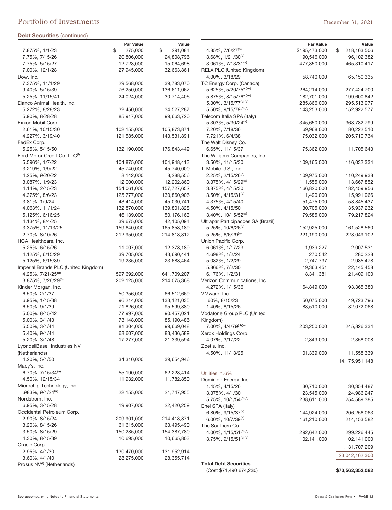|                                          | Par Value               | Value                   |
|------------------------------------------|-------------------------|-------------------------|
| 7.875%, 1/1/23                           | \$<br>275,000           | \$<br>291,084           |
| 7.75%, 7/15/26                           | 20,806,000              | 24,808,796              |
| 7.75%, 5/15/27                           | 12,723,000              | 15,064,698              |
| 7.00%, 12/1/28                           | 27,945,000              | 32,663,861              |
| Dow, Inc.                                |                         |                         |
| 7.375%, 11/1/29                          | 29,568,000              | 39,783,070              |
| 9.40%, 5/15/39                           | 76,250,000              | 136,611,067             |
| 5.25%, 11/15/41                          | 24,024,000              | 30,714,406              |
| Elanco Animal Health, Inc.               |                         |                         |
| 5.272%, 8/28/23                          | 32,450,000              | 34,527,287              |
| 5.90%, 8/28/28                           | 85,917,000              | 99,663,720              |
| Exxon Mobil Corp.                        |                         |                         |
| 2.61%, 10/15/30                          | 102,155,000             | 105,873,871             |
| 4.227%, 3/19/40                          | 121,585,000             | 143,531,891             |
| FedEx Corp.                              |                         |                         |
| 5.25%, 5/15/50                           | 132,190,000             | 176,843,449             |
| Ford Motor Credit Co. LLC <sup>(f)</sup> |                         |                         |
| 5.596%, 1/7/22<br>3.219%, 1/9/22         | 104,875,000             | 104,948,413             |
|                                          | 45,740,000              | 45,740,000              |
| 4.25%, 9/20/22<br>3.087%, 1/9/23         | 8,142,000<br>12,000,000 | 8,288,556<br>12,202,860 |
| 4.14%, 2/15/23                           | 154,061,000             | 157,727,652             |
| 4.375%, 8/6/23                           | 125,777,000             | 130,860,906             |
| 3.81%, 1/9/24                            | 43,414,000              | 45,030,741              |
| 4.063%, 11/1/24                          | 132,870,000             | 139,801,828             |
| 5.125%, 6/16/25                          | 46,139,000              | 50,176,163              |
| 4.134%, 8/4/25                           | 39,675,000              | 42,105,094              |
| 3.375%, 11/13/25                         | 159,640,000             | 165,853,189             |
| 2.70%, 8/10/26                           | 212,950,000             | 214,813,312             |
| HCA Healthcare, Inc.                     |                         |                         |
| 5.25%, 6/15/26                           | 11,007,000              | 12,378,189              |
| 4.125%, 6/15/29                          | 39,705,000              | 43,690,441              |
| 5.125%, 6/15/39                          | 19,235,000              | 23,688,464              |
| Imperial Brands PLC (United Kingdom)     |                         |                         |
| 4.25%, 7/21/25 <sup>(a)</sup>            | 597,692,000             | 641,709,207             |
| 3.875%, 7/26/29 <sup>(a)</sup>           | 202,125,000             | 214,075,368             |
| Kinder Morgan, Inc.                      |                         |                         |
| 6.50%, 2/1/37                            | 50,356,000              | 66,512,669              |
| 6.95%, 1/15/38                           | 96,214,000              | 133,121,035             |
| 6.50%, 9/1/39                            | 71,826,000              | 95,599,880              |
| 5.00%, 8/15/42                           | 77,997,000              | 90,457,021              |
| 5.00%, 3/1/43                            | 73,148,000              | 85,190,486              |
| 5.50%, 3/1/44                            | 81,304,000              | 99,669,048              |
| 5.40%, 9/1/44                            | 68,607,000              | 83,436,589              |
| 5.20%, 3/1/48                            | 17,277,000              | 21,339,594              |
| LyondellBasell Industries NV             |                         |                         |
| (Netherlands)                            |                         |                         |
| 4.20%, 5/1/50                            | 34,310,000              | 39,654,946              |
| Macy's, Inc.                             |                         |                         |
| 6.70%, 7/15/34 <sup>(a)</sup>            | 55,190,000              | 62,223,414              |
| 4.50%, 12/15/34                          | 11,932,000              | 11,782,850              |
| Microchip Technology, Inc.               |                         |                         |
| .983%, 9/1/24 <sup>(a)</sup>             | 22,155,000              | 21,747,955              |
| Nordstrom, Inc.                          |                         |                         |
| 6.95%, 3/15/28                           | 19,907,000              | 22,420,259              |
| Occidental Petroleum Corp.               |                         |                         |
| 2.90%, 8/15/24                           | 209,901,000             | 214,413,871             |
| 3.20%, 8/15/26                           | 61,615,000              | 63,495,490              |
| 3.50%, 8/15/29                           | 150,285,000             | 154,387,780             |
| 4.30%, 8/15/39                           | 10,695,000              | 10,665,803              |
| Oracle Corp.                             |                         |                         |
| 2.95%, 4/1/30                            | 130,470,000             | 131,952,914             |
| 3.60%, 4/1/40                            | 28,275,000              | 28,355,714              |
| Prosus NV <sup>(f)</sup> (Netherlands)   |                         |                         |

|                                                                      | Par Value     | Value                                                                        |
|----------------------------------------------------------------------|---------------|------------------------------------------------------------------------------|
| 4.85%, 7/6/27 <sup>(a)</sup>                                         | \$195,473,000 | \$<br>218,163,506                                                            |
| $3.68\%$ , $1/21/30^{(a)}$                                           | 190,546,000   | 196,102,382                                                                  |
| 3.061%, 7/13/31 <sup>(a)</sup>                                       | 477,350,000   | 465,310,417                                                                  |
| RELX PLC (United Kingdom)                                            |               |                                                                              |
| 4.00%, 3/18/29                                                       | 58,740,000    | 65,150,335                                                                   |
| TC Energy Corp. (Canada)                                             |               |                                                                              |
| 5.625%, 5/20/75 <sup>(d)(e)</sup>                                    | 264,214,000   | 277,424,700                                                                  |
| 5.875%, 8/15/76 <sup>(d)(e)</sup>                                    | 182,701,000   | 199,600,842                                                                  |
| 5.30%, $3/15/77^{(d)(e)}$                                            | 285,866,000   | 295,513,977                                                                  |
| 5.50%, 9/15/79(d)(e)                                                 | 143,253,000   | 152,922,577                                                                  |
| Telecom Italia SPA (Italy)                                           |               |                                                                              |
| 5.303%, 5/30/24 <sup>(a)</sup>                                       | 345,650,000   | 363,782,799                                                                  |
| 7.20%, 7/18/36                                                       | 69,968,000    | 80,222,510                                                                   |
| 7.721%, 6/4/38                                                       | 175,032,000   | 205,710,734                                                                  |
| The Walt Disney Co.                                                  |               |                                                                              |
| 6.65%, 11/15/37                                                      | 75,362,000    | 111,705,643                                                                  |
| The Williams Companies, Inc.                                         |               |                                                                              |
| 3.50%, 11/15/30                                                      | 109,165,000   | 116,032,334                                                                  |
| T-Mobile U.S., Inc.                                                  |               |                                                                              |
| 2.25%, 2/15/26 <sup>(a)</sup>                                        | 109,975,000   | 110,249,938                                                                  |
| 3.375%, 4/15/29(a)                                                   | 111,555,000   | 113,667,852                                                                  |
| 3.875%, 4/15/30                                                      | 166,820,000   | 182,459,956                                                                  |
| 3.50%, 4/15/31 <sup>(a)</sup>                                        | 111,490,000   | 115,991,966                                                                  |
| 4.375%, 4/15/40                                                      | 51,475,000    | 58,845,437                                                                   |
| 4.50%, 4/15/50                                                       | 30,705,000    | 35,937,232                                                                   |
| $3.40\%$ , 10/15/52 <sup>(a)</sup>                                   | 79,585,000    | 79,217,824                                                                   |
| Ultrapar Participacoes SA (Brazil)                                   |               |                                                                              |
| 5.25%, 10/6/26 <sup>(a)</sup>                                        | 152,925,000   | 161,528,560                                                                  |
| 5.25%, 6/6/29(a)                                                     | 221,190,000   | 228,049,102                                                                  |
| Union Pacific Corp.                                                  |               |                                                                              |
| 6.061%, 1/17/23                                                      | 1,939,227     | 2,007,531                                                                    |
| 4.698%, 1/2/24                                                       | 270,542       | 280,228                                                                      |
| 5.082%, 1/2/29                                                       | 2,747,737     | 2,985,478                                                                    |
| 5.866%, 7/2/30                                                       | 19,363,451    | 22,145,458                                                                   |
| 6.176%, 1/2/31                                                       | 18,341,381    | 21,409,100                                                                   |
| Verizon Communications, Inc.                                         |               |                                                                              |
| 4.272%, 1/15/36                                                      | 164,849,000   | 193,365,380                                                                  |
| VMware, Inc.                                                         |               |                                                                              |
| .60%, 8/15/23                                                        | 50,075,000    | 49,723,796                                                                   |
| 1.40%, 8/15/26                                                       | 83,510,000    | 82,072,068                                                                   |
| Vodafone Group PLC (United                                           |               |                                                                              |
| Kingdom)                                                             |               |                                                                              |
| 7.00%, 4/4/79(d)(e)                                                  | 203,250,000   | 245,826,334                                                                  |
| Xerox Holdings Corp.                                                 |               |                                                                              |
| 4.07%, 3/17/22                                                       | 2,349,000     | 2,358,008                                                                    |
| Zoetis, Inc.                                                         |               |                                                                              |
| 4.50%, 11/13/25                                                      | 101,339,000   | 111,558,339                                                                  |
|                                                                      |               | 14,175,951,148                                                               |
|                                                                      |               |                                                                              |
| Utilities: 1.6%                                                      |               |                                                                              |
| Dominion Energy, Inc.                                                |               |                                                                              |
| 1.45%, 4/15/26                                                       | 30,710,000    | 30,354,487                                                                   |
| 3.375%, 4/1/30                                                       | 23,545,000    | 24,986,247                                                                   |
| 5.75%, $10/1/54^{(d)(e)}$                                            | 238,611,000   | 254,589,385                                                                  |
|                                                                      |               |                                                                              |
|                                                                      |               | 206,256,063                                                                  |
|                                                                      |               |                                                                              |
| $6.80\%$ , 9/15/37 <sup>(a)</sup>                                    | 144,924,000   |                                                                              |
| $6.00\%$ , 10/7/39 <sup>(a)</sup>                                    | 161,210,000   |                                                                              |
|                                                                      |               |                                                                              |
| 4.00%, 1/15/51(d)(e)                                                 | 292,642,000   |                                                                              |
| 3.75%, $9/15/51^{(d)(e)}$                                            | 102,141,000   |                                                                              |
|                                                                      |               |                                                                              |
|                                                                      |               | 214,153,582<br>299,226,445<br>102,141,000<br>1,131,707,209<br>23,042,162,300 |
| Enel SPA (Italy)<br>The Southern Co.<br><b>Total Debt Securities</b> |               |                                                                              |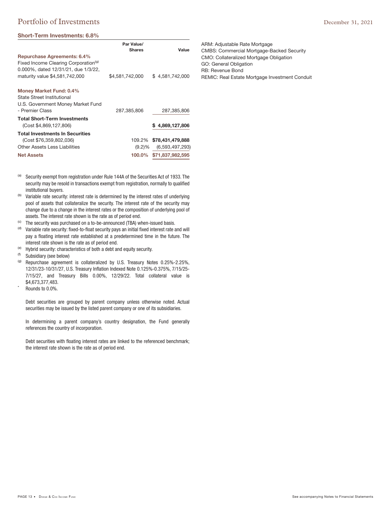#### **Short-Term Investments: 6.8%**

|                                                  | Par Value/<br><b>Shares</b> | Value               |
|--------------------------------------------------|-----------------------------|---------------------|
| <b>Repurchase Agreements: 6.4%</b>               |                             |                     |
| Fixed Income Clearing Corporation <sup>(g)</sup> |                             |                     |
| 0.000%, dated 12/31/21, due 1/3/22,              |                             |                     |
| maturity value \$4,581,742,000                   | \$4.581.742.000             | \$4.581.742.000     |
| <b>Money Market Fund: 0.4%</b>                   |                             |                     |
| State Street Institutional                       |                             |                     |
| U.S. Government Money Market Fund                |                             |                     |
| - Premier Class                                  | 287,385,806                 | 287,385,806         |
| <b>Total Short-Term Investments</b>              |                             |                     |
| (Cost \$4,869,127,806)                           |                             | 4.869.127.806<br>S. |
| <b>Total Investments In Securities</b>           |                             |                     |
| (Cost \$76,359,802,036)                          | 109.2%                      | \$78,431,479,888    |
| Other Assets Less Liabilities                    | (9.2)%                      | (6,593,497,293)     |
| <b>Net Assets</b>                                | 100.0%                      | \$71.837.982.595    |

- (a) Security exempt from registration under Rule 144A of the Securities Act of 1933. The security may be resold in transactions exempt from registration, normally to qualified institutional buyers.
- (b) Variable rate security: interest rate is determined by the interest rates of underlying pool of assets that collateralize the security. The interest rate of the security may change due to a change in the interest rates or the composition of underlying pool of assets. The interest rate shown is the rate as of period end.
- (c) The security was purchased on a to-be-announced (TBA) when-issued basis.<br>(g) Veriable rate socurity fixed to float socurity pays an initial fixed interact rate a
- Variable rate security: fixed-to-float security pays an initial fixed interest rate and will pay a floating interest rate established at a predetermined time in the future. The interest rate shown is the rate as of period end.
- (e) Hybrid security: characteristics of both a debt and equity security.<br>  $\frac{(f)}{(f)}$  Subsidiary (see below)
- $(6)$  Subsidiary (see below)
- Repurchase agreement is collateralized by U.S. Treasury Notes 0.25%-2.25%, 12/31/23-10/31/27, U.S. Treasury Inflation Indexed Note 0.125%-0.375%, 7/15/25- 7/15/27, and Treasury Bills 0.00%, 12/29/22. Total collateral value is \$4,673,377,483.
- Rounds to 0.0%.

Debt securities are grouped by parent company unless otherwise noted. Actual securities may be issued by the listed parent company or one of its subsidiaries.

In determining a parent company's country designation, the Fund generally references the country of incorporation.

Debt securities with floating interest rates are linked to the referenced benchmark; the interest rate shown is the rate as of period end.

ARM: Adjustable Rate Mortgage CMBS: Commercial Mortgage-Backed Security CMO: Collateralized Mortgage Obligation GO: General Obligation RB: Revenue Bond REMIC: Real Estate Mortgage Investment Conduit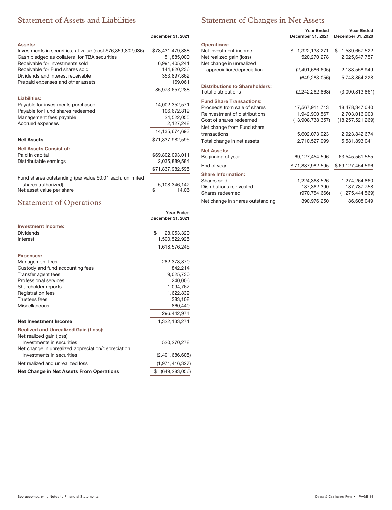# Statement of Assets and Liabilities

# Statement of Changes in Net Assets

|                                                             | December 31, 2021 |
|-------------------------------------------------------------|-------------------|
| <b>Assets:</b>                                              |                   |
| Investments in securities, at value (cost \$76,359,802,036) | \$78,431,479,888  |
| Cash pledged as collateral for TBA securities               | 51.885.000        |
| Receivable for investments sold                             | 6,991,405,241     |
| Receivable for Fund shares sold                             | 144,820,236       |
| Dividends and interest receivable                           | 353,897,862       |
| Prepaid expenses and other assets                           | 169,061           |
|                                                             | 85,973,657,288    |
| Liabilities:                                                |                   |
| Payable for investments purchased                           | 14,002,352,571    |
| Payable for Fund shares redeemed                            | 106,672,819       |
| Management fees payable                                     | 24,522,055        |
| Accrued expenses                                            | 2,127,248         |
|                                                             | 14.135.674.693    |
| <b>Net Assets</b>                                           | \$71,837,982,595  |
| <b>Net Assets Consist of:</b>                               |                   |
| Paid in capital                                             | \$69,802,093,011  |
| Distributable earnings                                      | 2.035.889.584     |
|                                                             | \$71.837.982.595  |
| Fund shares outstanding (par value \$0.01 each, unlimited   |                   |
| shares authorized)                                          | 5,108,346,142     |
| Net asset value per share                                   | \$<br>14.06       |

# Statement of Operations

|                                                    | <b>Year Ended</b><br>December 31, 2021 |
|----------------------------------------------------|----------------------------------------|
| <b>Investment Income:</b>                          |                                        |
| <b>Dividends</b>                                   | \$<br>28,053,320                       |
| Interest                                           | 1,590,522,925                          |
|                                                    | 1,618,576,245                          |
| <b>Expenses:</b>                                   |                                        |
| Management fees                                    | 282,373,870                            |
| Custody and fund accounting fees                   | 842,214                                |
| Transfer agent fees                                | 9,025,730                              |
| Professional services                              | 240,006                                |
| Shareholder reports                                | 1,094,767                              |
| <b>Registration fees</b>                           | 1,622,839                              |
| Trustees fees                                      | 383,108                                |
| Miscellaneous                                      | 860.440                                |
|                                                    | 296.442.974                            |
| Net Investment Income                              | 1,322,133,271                          |
| <b>Realized and Unrealized Gain (Loss):</b>        |                                        |
| Net realized gain (loss)                           |                                        |
| Investments in securities                          | 520,270,278                            |
| Net change in unrealized appreciation/depreciation |                                        |
| Investments in securities                          | (2,491,686,605)                        |
| Net realized and unrealized loss                   | (1,971,416,327)                        |
| Net Change in Net Assets From Operations           | \$<br>(649, 283, 056)                  |
|                                                    |                                        |

|                                                              | <b>Year Ended</b>   | <b>Year Ended</b>   |  |
|--------------------------------------------------------------|---------------------|---------------------|--|
|                                                              | December 31, 2021   | December 31, 2020   |  |
| <b>Operations:</b>                                           |                     |                     |  |
| Net investment income                                        | 1,322,133,271<br>\$ | \$<br>1,589,657,522 |  |
| Net realized gain (loss)                                     | 520,270,278         | 2,025,647,757       |  |
| Net change in unrealized                                     |                     |                     |  |
| appreciation/depreciation                                    | (2,491,686,605)     | 2,133,558,949       |  |
|                                                              | (649, 283, 056)     | 5,748,864,228       |  |
| <b>Distributions to Shareholders:</b><br>Total distributions | (2,242,262,868)     | (3,090,813,861)     |  |
| <b>Fund Share Transactions:</b>                              |                     |                     |  |
| Proceeds from sale of shares                                 | 17,567,911,713      | 18,478,347,040      |  |
| Reinvestment of distributions                                | 1,942,900,567       | 2,703,016,903       |  |
| Cost of shares redeemed                                      | (13,908,738,357)    | (18, 257, 521, 269) |  |
| Net change from Fund share                                   |                     |                     |  |
| transactions                                                 | 5,602,073,923       | 2,923,842,674       |  |
| Total change in net assets                                   | 2,710,527,999       | 5,581,893,041       |  |
| <b>Net Assets:</b>                                           |                     |                     |  |
| Beginning of year                                            | 69,127,454,596      | 63,545,561,555      |  |
| End of year                                                  | \$71,837,982,595    | \$69,127,454,596    |  |
| <b>Share Information:</b>                                    |                     |                     |  |
| Shares sold                                                  | 1,224,368,526       | 1,274,264,860       |  |
| Distributions reinvested                                     | 137,362,390         | 187,787,758         |  |
| Shares redeemed                                              | (970, 754, 666)     | (1,275,444,569)     |  |
| Net change in shares outstanding                             | 390,976,250         | 186,608,049         |  |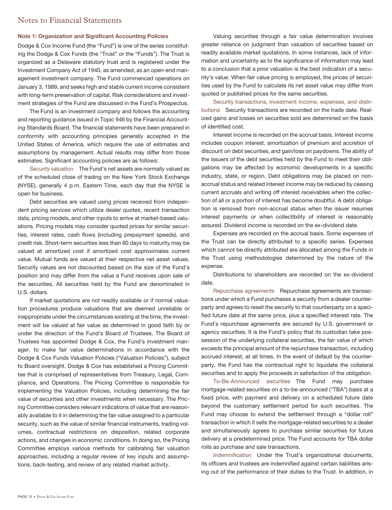### Notes to Financial Statements

#### **Note 1: Organization and Significant Accounting Policies**

Dodge & Cox Income Fund (the "Fund") is one of the series constituting the Dodge & Cox Funds (the "Trust" or the "Funds"). The Trust is organized as a Delaware statutory trust and is registered under the Investment Company Act of 1940, as amended, as an open-end management investment company. The Fund commenced operations on January 3, 1989, and seeks high and stable current income consistent with long-term preservation of capital. Risk considerations and investment strategies of the Fund are discussed in the Fund's Prospectus.

The Fund is an investment company and follows the accounting and reporting guidance issued in Topic 946 by the Financial Accounting Standards Board. The financial statements have been prepared in conformity with accounting principles generally accepted in the United States of America, which require the use of estimates and assumptions by management. Actual results may differ from those estimates. Significant accounting policies are as follows:

Security valuation The Fund's net assets are normally valued as of the scheduled close of trading on the New York Stock Exchange (NYSE), generally 4 p.m. Eastern Time, each day that the NYSE is open for business.

Debt securities are valued using prices received from independent pricing services which utilize dealer quotes, recent transaction data, pricing models, and other inputs to arrive at market-based valuations. Pricing models may consider quoted prices for similar securities, interest rates, cash flows (including prepayment speeds), and credit risk. Short-term securities less than 60 days to maturity may be valued at amortized cost if amortized cost approximates current value. Mutual funds are valued at their respective net asset values. Security values are not discounted based on the size of the Fund's position and may differ from the value a Fund receives upon sale of the securities. All securities held by the Fund are denominated in U.S. dollars.

If market quotations are not readily available or if normal valuation procedures produce valuations that are deemed unreliable or inappropriate under the circumstances existing at the time, the investment will be valued at fair value as determined in good faith by or under the direction of the Fund's Board of Trustees. The Board of Trustees has appointed Dodge & Cox, the Fund's investment manager, to make fair value determinations in accordance with the Dodge & Cox Funds Valuation Policies ("Valuation Policies"), subject to Board oversight. Dodge & Cox has established a Pricing Committee that is comprised of representatives from Treasury, Legal, Compliance, and Operations. The Pricing Committee is responsible for implementing the Valuation Policies, including determining the fair value of securities and other investments when necessary. The Pricing Committee considers relevant indications of value that are reasonably available to it in determining the fair value assigned to a particular security, such as the value of similar financial instruments, trading volumes, contractual restrictions on disposition, related corporate actions, and changes in economic conditions. In doing so, the Pricing Committee employs various methods for calibrating fair valuation approaches, including a regular review of key inputs and assumptions, back-testing, and review of any related market activity.

Valuing securities through a fair value determination involves greater reliance on judgment than valuation of securities based on readily available market quotations. In some instances, lack of information and uncertainty as to the significance of information may lead to a conclusion that a prior valuation is the best indication of a security's value. When fair value pricing is employed, the prices of securities used by the Fund to calculate its net asset value may differ from quoted or published prices for the same securities.

Security transactions, investment income, expenses, and distributions Security transactions are recorded on the trade date. Realized gains and losses on securities sold are determined on the basis of identified cost.

Interest income is recorded on the accrual basis. Interest income includes coupon interest, amortization of premium and accretion of discount on debt securities, and gain/loss on paydowns. The ability of the issuers of the debt securities held by the Fund to meet their obligations may be affected by economic developments in a specific industry, state, or region. Debt obligations may be placed on nonaccrual status and related interest income may be reduced by ceasing current accruals and writing off interest receivables when the collection of all or a portion of interest has become doubtful. A debt obligation is removed from non-accrual status when the issuer resumes interest payments or when collectibility of interest is reasonably assured. Dividend income is recorded on the ex-dividend date.

Expenses are recorded on the accrual basis. Some expenses of the Trust can be directly attributed to a specific series. Expenses which cannot be directly attributed are allocated among the Funds in the Trust using methodologies determined by the nature of the expense.

Distributions to shareholders are recorded on the ex-dividend date.

Repurchase agreements Repurchase agreements are transactions under which a Fund purchases a security from a dealer counterparty and agrees to resell the security to that counterparty on a specified future date at the same price, plus a specified interest rate. The Fund's repurchase agreements are secured by U.S. government or agency securities. It is the Fund's policy that its custodian take possession of the underlying collateral securities, the fair value of which exceeds the principal amount of the repurchase transaction, including accrued interest, at all times. In the event of default by the counterparty, the Fund has the contractual right to liquidate the collateral securities and to apply the proceeds in satisfaction of the obligation.

To-Be-Announced securities The Fund may purchase mortgage-related securities on a to-be-announced ("TBA") basis at a fixed price, with payment and delivery on a scheduled future date beyond the customary settlement period for such securities. The Fund may choose to extend the settlement through a "dollar roll" transaction in which it sells the mortgage-related securities to a dealer and simultaneously agrees to purchase similar securities for future delivery at a predetermined price. The Fund accounts for TBA dollar rolls as purchase and sale transactions.

Indemnification Under the Trust's organizational documents, its officers and trustees are indemnified against certain liabilities arising out of the performance of their duties to the Trust. In addition, in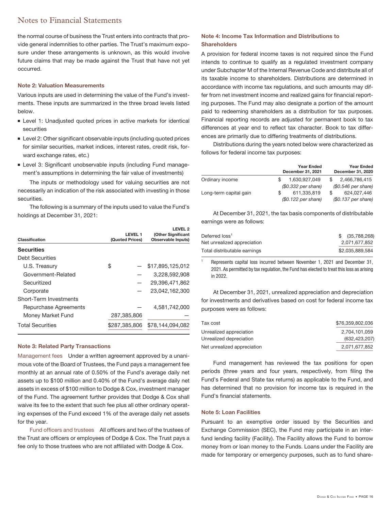# Notes to Financial Statements

the normal course of business the Trust enters into contracts that provide general indemnities to other parties. The Trust's maximum exposure under these arrangements is unknown, as this would involve future claims that may be made against the Trust that have not yet occurred.

#### **Note 2: Valuation Measurements**

Various inputs are used in determining the value of the Fund's investments. These inputs are summarized in the three broad levels listed below.

- **Level 1: Unadjusted quoted prices in active markets for identical** securities
- **Example 2: Other significant observable inputs (including quoted prices** for similar securities, market indices, interest rates, credit risk, forward exchange rates, etc.)
- **Level 3: Significant unobservable inputs (including Fund manage**ment's assumptions in determining the fair value of investments)

The inputs or methodology used for valuing securities are not necessarily an indication of the risk associated with investing in those securities.

The following is a summary of the inputs used to value the Fund's holdings at December 31, 2021:

|                         |                 | <b>LEVEL 2</b>     |
|-------------------------|-----------------|--------------------|
| Classification          | <b>LEVEL 1</b>  | (Other Significant |
|                         | (Quoted Prices) | Observable Inputs) |
| <b>Securities</b>       |                 |                    |
| <b>Debt Securities</b>  |                 |                    |
| U.S. Treasury           | \$              | \$17,895,125,012   |
| Government-Related      |                 | 3,228,592,908      |
| Securitized             |                 | 29,396,471,862     |
| Corporate               |                 | 23,042,162,300     |
| Short-Term Investments  |                 |                    |
| Repurchase Agreements   |                 | 4.581.742.000      |
| Money Market Fund       | 287,385,806     |                    |
| <b>Total Securities</b> | \$287.385.806   | \$78.144.094.082   |

#### **Note 3: Related Party Transactions**

Management fees Under a written agreement approved by a unanimous vote of the Board of Trustees, the Fund pays a management fee monthly at an annual rate of 0.50% of the Fund's average daily net assets up to \$100 million and 0.40% of the Fund's average daily net assets in excess of \$100 million to Dodge & Cox, investment manager of the Fund. The agreement further provides that Dodge & Cox shall waive its fee to the extent that such fee plus all other ordinary operating expenses of the Fund exceed 1% of the average daily net assets for the year.

Fund officers and trustees All officers and two of the trustees of the Trust are officers or employees of Dodge & Cox. The Trust pays a fee only to those trustees who are not affiliated with Dodge & Cox.

#### **Note 4: Income Tax Information and Distributions to Shareholders**

A provision for federal income taxes is not required since the Fund intends to continue to qualify as a regulated investment company under Subchapter M of the Internal Revenue Code and distribute all of its taxable income to shareholders. Distributions are determined in accordance with income tax regulations, and such amounts may differ from net investment income and realized gains for financial reporting purposes. The Fund may also designate a portion of the amount paid to redeeming shareholders as a distribution for tax purposes. Financial reporting records are adjusted for permanent book to tax differences at year end to reflect tax character. Book to tax differences are primarily due to differing treatments of distributions.

Distributions during the years noted below were characterized as follows for federal income tax purposes:

|                        | <b>Year Ended</b><br>December 31, 2021 | <b>Year Ended</b><br>December 31, 2020 |
|------------------------|----------------------------------------|----------------------------------------|
| Ordinary income        | 1.630.927.049                          | 2,466,786,415                          |
|                        | (\$0.332 per share)                    | $$0.546$ per share)                    |
| Long-term capital gain | 611.335.819<br>S                       | 624.027.446<br>\$                      |
|                        | (\$0.122 per share)                    | (\$0.137 per share)                    |

At December 31, 2021, the tax basis components of distributable earnings were as follows:

| Deferred loss <sup>1</sup>   | $$^{(35,788,268)}$ |
|------------------------------|--------------------|
| Net unrealized appreciation  | 2.071.677.852      |
| Total distributable earnings | \$2.035.889.584    |

<sup>1</sup> Represents capital loss incurred between November 1, 2021 and December 31, 2021. As permitted by tax regulation, the Fund has elected to treat this loss as arising in 2022.

At December 31, 2021, unrealized appreciation and depreciation for investments and derivatives based on cost for federal income tax purposes were as follows:

| Tax cost                    | \$76,359,802,036 |
|-----------------------------|------------------|
| Unrealized appreciation     | 2.704.101.059    |
| Unrealized depreciation     | (632, 423, 207)  |
| Net unrealized appreciation | 2.071.677.852    |

Fund management has reviewed the tax positions for open periods (three years and four years, respectively, from filing the Fund's Federal and State tax returns) as applicable to the Fund, and has determined that no provision for income tax is required in the Fund's financial statements.

#### **Note 5: Loan Facilities**

Pursuant to an exemptive order issued by the Securities and Exchange Commission (SEC), the Fund may participate in an interfund lending facility (Facility). The Facility allows the Fund to borrow money from or loan money to the Funds. Loans under the Facility are made for temporary or emergency purposes, such as to fund share-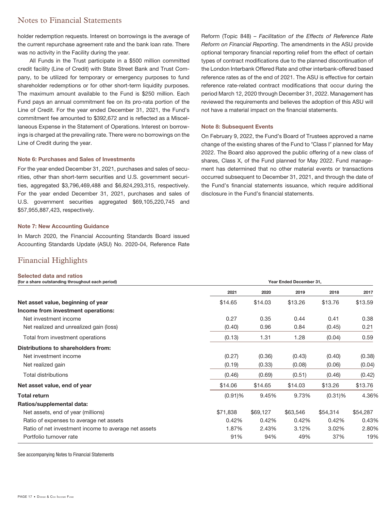## Notes to Financial Statements

holder redemption requests. Interest on borrowings is the average of the current repurchase agreement rate and the bank loan rate. There was no activity in the Facility during the year.

All Funds in the Trust participate in a \$500 million committed credit facility (Line of Credit) with State Street Bank and Trust Company, to be utilized for temporary or emergency purposes to fund shareholder redemptions or for other short-term liquidity purposes. The maximum amount available to the Fund is \$250 million. Each Fund pays an annual commitment fee on its pro-rata portion of the Line of Credit. For the year ended December 31, 2021, the Fund's commitment fee amounted to \$392,672 and is reflected as a Miscellaneous Expense in the Statement of Operations. Interest on borrowings is charged at the prevailing rate. There were no borrowings on the Line of Credit during the year.

#### **Note 6: Purchases and Sales of Investments**

For the year ended December 31, 2021, purchases and sales of securities, other than short-term securities and U.S. government securities, aggregated \$3,796,469,488 and \$6,824,293,315, respectively. For the year ended December 31, 2021, purchases and sales of U.S. government securities aggregated \$69,105,220,745 and \$57,955,887,423, respectively.

#### **Note 7: New Accounting Guidance**

In March 2020, the Financial Accounting Standards Board issued Accounting Standards Update (ASU) No. 2020-04, Reference Rate

### Financial Highlights

Reform (Topic 848) – Facilitation of the Effects of Reference Rate Reform on Financial Reporting. The amendments in the ASU provide optional temporary financial reporting relief from the effect of certain types of contract modifications due to the planned discontinuation of the London Interbank Offered Rate and other interbank-offered based reference rates as of the end of 2021. The ASU is effective for certain reference rate-related contract modifications that occur during the period March 12, 2020 through December 31, 2022. Management has reviewed the requirements and believes the adoption of this ASU will not have a material impact on the financial statements.

#### **Note 8: Subsequent Events**

On February 9, 2022, the Fund's Board of Trustees approved a name change of the existing shares of the Fund to "Class I" planned for May 2022. The Board also approved the public offering of a new class of shares, Class X, of the Fund planned for May 2022. Fund management has determined that no other material events or transactions occurred subsequent to December 31, 2021, and through the date of the Fund's financial statements issuance, which require additional disclosure in the Fund's financial statements.

| Selected data and ratios<br>(for a share outstanding throughout each period) | Year Ended December 31, |          |          |            |          |
|------------------------------------------------------------------------------|-------------------------|----------|----------|------------|----------|
|                                                                              | 2021                    | 2020     | 2019     | 2018       | 2017     |
| Net asset value, beginning of year                                           | \$14.65                 | \$14.03  | \$13.26  | \$13.76    | \$13.59  |
| Income from investment operations:                                           |                         |          |          |            |          |
| Net investment income                                                        | 0.27                    | 0.35     | 0.44     | 0.41       | 0.38     |
| Net realized and unrealized gain (loss)                                      | (0.40)                  | 0.96     | 0.84     | (0.45)     | 0.21     |
| Total from investment operations                                             | (0.13)                  | 1.31     | 1.28     | (0.04)     | 0.59     |
| Distributions to shareholders from:                                          |                         |          |          |            |          |
| Net investment income                                                        | (0.27)                  | (0.36)   | (0.43)   | (0.40)     | (0.38)   |
| Net realized gain                                                            | (0.19)                  | (0.33)   | (0.08)   | (0.06)     | (0.04)   |
| Total distributions                                                          | (0.46)                  | (0.69)   | (0.51)   | (0.46)     | (0.42)   |
| Net asset value, end of year                                                 | \$14.06                 | \$14.65  | \$14.03  | \$13.26    | \$13.76  |
| Total return                                                                 | $(0.91)\%$              | 9.45%    | 9.73%    | $(0.31)\%$ | 4.36%    |
| Ratios/supplemental data:                                                    |                         |          |          |            |          |
| Net assets, end of year (millions)                                           | \$71,838                | \$69,127 | \$63,546 | \$54,314   | \$54,287 |
| Ratio of expenses to average net assets                                      | 0.42%                   | 0.42%    | 0.42%    | 0.42%      | 0.43%    |
| Ratio of net investment income to average net assets                         | 1.87%                   | 2.43%    | 3.12%    | 3.02%      | 2.80%    |
| Portfolio turnover rate                                                      | 91%                     | 94%      | 49%      | 37%        | 19%      |

See accompanying Notes to Financial Statements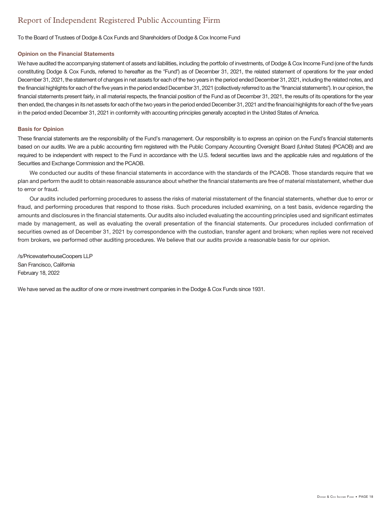# Report of Independent Registered Public Accounting Firm

To the Board of Trustees of Dodge & Cox Funds and Shareholders of Dodge & Cox Income Fund

#### **Opinion on the Financial Statements**

We have audited the accompanying statement of assets and liabilities, including the portfolio of investments, of Dodge & Cox Income Fund (one of the funds constituting Dodge & Cox Funds, referred to hereafter as the "Fund") as of December 31, 2021, the related statement of operations for the year ended December 31, 2021, the statement of changes in net assets for each of the two years in the period ended December 31, 2021, including the related notes, and the financial highlights for each of the five years in the period ended December 31, 2021 (collectively referred to as the "financial statements"). In our opinion, the financial statements present fairly, in all material respects, the financial position of the Fund as of December 31, 2021, the results of its operations for the year then ended, the changes in its net assets for each of the two years in the period ended December 31, 2021 and the financial highlights for each of the five years in the period ended December 31, 2021 in conformity with accounting principles generally accepted in the United States of America.

#### **Basis for Opinion**

These financial statements are the responsibility of the Fund's management. Our responsibility is to express an opinion on the Fund's financial statements based on our audits. We are a public accounting firm registered with the Public Company Accounting Oversight Board (United States) (PCAOB) and are required to be independent with respect to the Fund in accordance with the U.S. federal securities laws and the applicable rules and regulations of the Securities and Exchange Commission and the PCAOB.

We conducted our audits of these financial statements in accordance with the standards of the PCAOB. Those standards require that we plan and perform the audit to obtain reasonable assurance about whether the financial statements are free of material misstatement, whether due to error or fraud.

Our audits included performing procedures to assess the risks of material misstatement of the financial statements, whether due to error or fraud, and performing procedures that respond to those risks. Such procedures included examining, on a test basis, evidence regarding the amounts and disclosures in the financial statements. Our audits also included evaluating the accounting principles used and significant estimates made by management, as well as evaluating the overall presentation of the financial statements. Our procedures included confirmation of securities owned as of December 31, 2021 by correspondence with the custodian, transfer agent and brokers; when replies were not received from brokers, we performed other auditing procedures. We believe that our audits provide a reasonable basis for our opinion.

/s/PricewaterhouseCoopers LLP San Francisco, California February 18, 2022

We have served as the auditor of one or more investment companies in the Dodge & Cox Funds since 1931.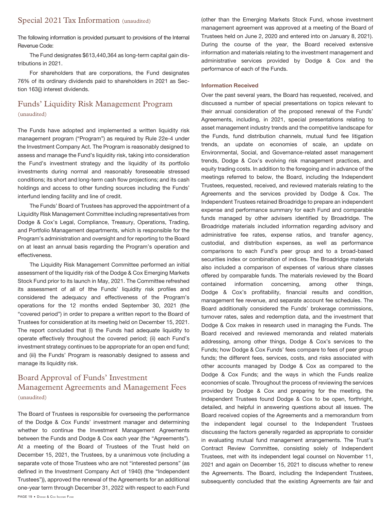### Special 2021 Tax Information (unaudited)

The following information is provided pursuant to provisions of the Internal Revenue Code:

The Fund designates \$613,440,364 as long-term capital gain distributions in 2021.

For shareholders that are corporations, the Fund designates 76% of its ordinary dividends paid to shareholders in 2021 as Section 163(j) interest dividends.

## Funds' Liquidity Risk Management Program (unaudited)

The Funds have adopted and implemented a written liquidity risk management program ("Program") as required by Rule 22e-4 under the Investment Company Act. The Program is reasonably designed to assess and manage the Fund's liquidity risk, taking into consideration the Fund's investment strategy and the liquidity of its portfolio investments during normal and reasonably foreseeable stressed conditions; its short and long-term cash flow projections; and its cash holdings and access to other funding sources including the Funds' interfund lending facility and line of credit.

The Funds' Board of Trustees has approved the appointment of a Liquidity Risk Management Committee including representatives from Dodge & Cox's Legal, Compliance, Treasury, Operations, Trading, and Portfolio Management departments, which is responsible for the Program's administration and oversight and for reporting to the Board on at least an annual basis regarding the Program's operation and effectiveness.

The Liquidity Risk Management Committee performed an initial assessment of the liquidity risk of the Dodge & Cox Emerging Markets Stock Fund prior to its launch in May, 2021. The Committee refreshed its assessment of all of lthe Funds' liquidity risk profiles and considered the adequacy and effectiveness of the Program's operations for the 12 months ended September 30, 2021 (the "covered period") in order to prepare a written report to the Board of Trustees for consideration at its meeting held on December 15, 2021. The report concluded that (i) the Funds had adequate liquidity to operate effectively throughout the covered period; (ii) each Fund's investment strategy continues to be appropriate for an open end fund; and (iii) the Funds' Program is reasonably designed to assess and manage its liquidity risk.

## Board Approval of Funds' Investment Management Agreements and Management Fees (unaudited)

The Board of Trustees is responsible for overseeing the performance of the Dodge & Cox Funds' investment manager and determining whether to continue the Investment Management Agreements between the Funds and Dodge & Cox each year (the "Agreements"). At a meeting of the Board of Trustees of the Trust held on December 15, 2021, the Trustees, by a unanimous vote (including a separate vote of those Trustees who are not "interested persons" (as defined in the Investment Company Act of 1940) (the "Independent Trustees")), approved the renewal of the Agreements for an additional one-year term through December 31, 2022 with respect to each Fund

(other than the Emerging Markets Stock Fund, whose investment management agreement was approved at a meeting of the Board of Trustees held on June 2, 2020 and entered into on January 8, 2021). During the course of the year, the Board received extensive information and materials relating to the investment management and administrative services provided by Dodge & Cox and the performance of each of the Funds.

#### **Information Received**

Over the past several years, the Board has requested, received, and discussed a number of special presentations on topics relevant to their annual consideration of the proposed renewal of the Funds' Agreements, including, in 2021, special presentations relating to asset management industry trends and the competitive landscape for the Funds, fund distribution channels, mutual fund fee litigation trends, an update on economies of scale, an update on Environmental, Social, and Governance-related asset management trends, Dodge & Cox's evolving risk management practices, and equity trading costs. In addition to the foregoing and in advance of the meetings referred to below, the Board, including the Independent Trustees, requested, received, and reviewed materials relating to the Agreements and the services provided by Dodge & Cox. The Independent Trustees retained Broadridge to prepare an independent expense and performance summary for each Fund and comparable funds managed by other advisers identified by Broadridge. The Broadridge materials included information regarding advisory and administrative fee rates, expense ratios, and transfer agency, custodial, and distribution expenses, as well as performance comparisons to each Fund's peer group and to a broad-based securities index or combination of indices. The Broadridge materials also included a comparison of expenses of various share classes offered by comparable funds. The materials reviewed by the Board contained information concerning, among other things, Dodge & Cox's profitability, financial results and condition, management fee revenue, and separate account fee schedules. The Board additionally considered the Funds' brokerage commissions, turnover rates, sales and redemption data, and the investment that Dodge & Cox makes in research used in managing the Funds. The Board received and reviewed memoranda and related materials addressing, among other things, Dodge & Cox's services to the Funds; how Dodge & Cox Funds' fees compare to fees of peer group funds; the different fees, services, costs, and risks associated with other accounts managed by Dodge & Cox as compared to the Dodge & Cox Funds; and the ways in which the Funds realize economies of scale. Throughout the process of reviewing the services provided by Dodge & Cox and preparing for the meeting, the Independent Trustees found Dodge & Cox to be open, forthright, detailed, and helpful in answering questions about all issues. The Board received copies of the Agreements and a memorandum from the independent legal counsel to the Independent Trustees discussing the factors generally regarded as appropriate to consider in evaluating mutual fund management arrangements. The Trust's Contract Review Committee, consisting solely of Independent Trustees, met with its independent legal counsel on November 11, 2021 and again on December 15, 2021 to discuss whether to renew the Agreements. The Board, including the Independent Trustees, subsequently concluded that the existing Agreements are fair and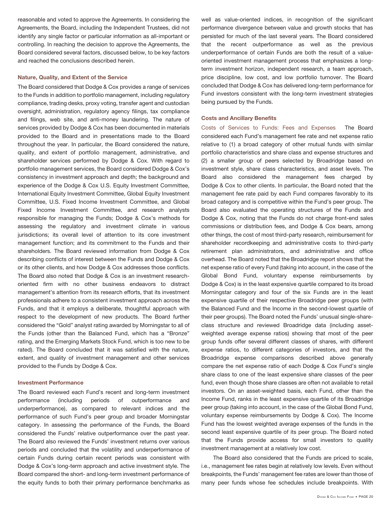reasonable and voted to approve the Agreements. In considering the Agreements, the Board, including the Independent Trustees, did not identify any single factor or particular information as all-important or controlling. In reaching the decision to approve the Agreements, the Board considered several factors, discussed below, to be key factors and reached the conclusions described herein.

#### **Nature, Quality, and Extent of the Service**

The Board considered that Dodge & Cox provides a range of services to the Funds in addition to portfolio management, including regulatory compliance, trading desks, proxy voting, transfer agent and custodian oversight, administration, regulatory agency filings, tax compliance and filings, web site, and anti-money laundering. The nature of services provided by Dodge & Cox has been documented in materials provided to the Board and in presentations made to the Board throughout the year. In particular, the Board considered the nature, quality, and extent of portfolio management, administrative, and shareholder services performed by Dodge & Cox. With regard to portfolio management services, the Board considered Dodge & Cox's consistency in investment approach and depth; the background and experience of the Dodge & Cox U.S. Equity Investment Committee, International Equity Investment Committee, Global Equity Investment Committee, U.S. Fixed Income Investment Committee, and Global Fixed Income Investment Committee, and research analysts responsible for managing the Funds; Dodge & Cox's methods for assessing the regulatory and investment climate in various jurisdictions; its overall level of attention to its core investment management function; and its commitment to the Funds and their shareholders. The Board reviewed information from Dodge & Cox describing conflicts of interest between the Funds and Dodge & Cox or its other clients, and how Dodge & Cox addresses those conflicts. The Board also noted that Dodge & Cox is an investment researchoriented firm with no other business endeavors to distract management's attention from its research efforts, that its investment professionals adhere to a consistent investment approach across the Funds, and that it employs a deliberate, thoughtful approach with respect to the development of new products. The Board further considered the "Gold" analyst rating awarded by Morningstar to all of the Funds (other than the Balanced Fund, which has a "Bronze" rating, and the Emerging Markets Stock Fund, which is too new to be rated). The Board concluded that it was satisfied with the nature, extent, and quality of investment management and other services provided to the Funds by Dodge & Cox.

#### **Investment Performance**

The Board reviewed each Fund's recent and long-term investment performance (including periods of outperformance and underperformance), as compared to relevant indices and the performance of such Fund's peer group and broader Morningstar category. In assessing the performance of the Funds, the Board considered the Funds' relative outperformance over the past year. The Board also reviewed the Funds' investment returns over various periods and concluded that the volatility and underperformance of certain Funds during certain recent periods was consistent with Dodge & Cox's long-term approach and active investment style. The Board compared the short- and long-term investment performance of the equity funds to both their primary performance benchmarks as well as value-oriented indices, in recognition of the significant performance divergence between value and growth stocks that has persisted for much of the last several years. The Board considered that the recent outperformance as well as the previous underperformance of certain Funds are both the result of a valueoriented investment management process that emphasizes a longterm investment horizon, independent research, a team approach, price discipline, low cost, and low portfolio turnover. The Board concluded that Dodge & Cox has delivered long-term performance for Fund investors consistent with the long-term investment strategies being pursued by the Funds.

#### **Costs and Ancillary Benefits**

Costs of Services to Funds: Fees and Expenses The Board considered each Fund's management fee rate and net expense ratio relative to (1) a broad category of other mutual funds with similar portfolio characteristics and share class and expense structures and (2) a smaller group of peers selected by Broadridge based on investment style, share class characteristics, and asset levels. The Board also considered the management fees charged by Dodge & Cox to other clients. In particular, the Board noted that the management fee rate paid by each Fund compares favorably to its broad category and is competitive within the Fund's peer group. The Board also evaluated the operating structures of the Funds and Dodge & Cox, noting that the Funds do not charge front-end sales commissions or distribution fees, and Dodge & Cox bears, among other things, the cost of most third-party research, reimbursement for shareholder recordkeeping and administrative costs to third-party retirement plan administrators, and administrative and office overhead. The Board noted that the Broadridge report shows that the net expense ratio of every Fund (taking into account, in the case of the Global Bond Fund, voluntary expense reimbursements by Dodge & Cox) is in the least expensive quartile compared to its broad Morningstar category and four of the six Funds are in the least expensive quartile of their respective Broadridge peer groups (with the Balanced Fund and the Income in the second-lowest quartile of their peer groups). The Board noted the Funds' unusual single-shareclass structure and reviewed Broadridge data (including assetweighted average expense ratios) showing that most of the peer group funds offer several different classes of shares, with different expense ratios, to different categories of investors, and that the Broadridge expense comparisons described above generally compare the net expense ratio of each Dodge & Cox Fund's single share class to one of the least expensive share classes of the peer fund, even though those share classes are often not available to retail investors. On an asset-weighted basis, each Fund, other than the Income Fund, ranks in the least expensive quartile of its Broadridge peer group (taking into account, in the case of the Global Bond Fund, voluntary expense reimbursements by Dodge & Cox). The Income Fund has the lowest weighted average expenses of the funds in the second least expensive quartile of its peer group. The Board noted that the Funds provide access for small investors to quality investment management at a relatively low cost.

The Board also considered that the Funds are priced to scale, i.e., management fee rates begin at relatively low levels. Even without breakpoints, the Funds' management fee rates are lower than those of many peer funds whose fee schedules include breakpoints. With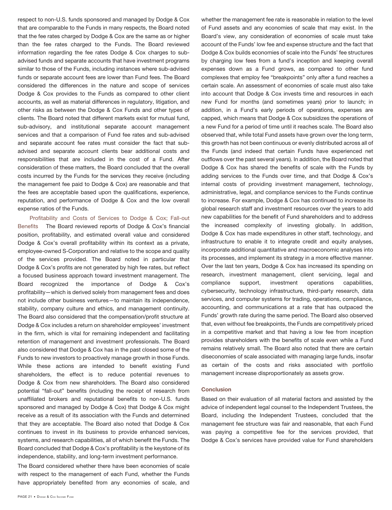respect to non-U.S. funds sponsored and managed by Dodge & Cox that are comparable to the Funds in many respects, the Board noted that the fee rates charged by Dodge & Cox are the same as or higher than the fee rates charged to the Funds. The Board reviewed information regarding the fee rates Dodge & Cox charges to subadvised funds and separate accounts that have investment programs similar to those of the Funds, including instances where sub-advised funds or separate account fees are lower than Fund fees. The Board considered the differences in the nature and scope of services Dodge & Cox provides to the Funds as compared to other client accounts, as well as material differences in regulatory, litigation, and other risks as between the Dodge & Cox Funds and other types of clients. The Board noted that different markets exist for mutual fund, sub-advisory, and institutional separate account management services and that a comparison of Fund fee rates and sub-advised and separate account fee rates must consider the fact that subadvised and separate account clients bear additional costs and responsibilities that are included in the cost of a Fund. After consideration of these matters, the Board concluded that the overall costs incurred by the Funds for the services they receive (including the management fee paid to Dodge & Cox) are reasonable and that the fees are acceptable based upon the qualifications, experience, reputation, and performance of Dodge & Cox and the low overall expense ratios of the Funds.

Profitability and Costs of Services to Dodge & Cox; Fall-out Benefits The Board reviewed reports of Dodge & Cox's financial position, profitability, and estimated overall value and considered Dodge & Cox's overall profitability within its context as a private, employee-owned S-Corporation and relative to the scope and quality of the services provided. The Board noted in particular that Dodge & Cox's profits are not generated by high fee rates, but reflect a focused business approach toward investment management. The Board recognized the importance of Dodge & Cox's profitability—which is derived solely from management fees and does not include other business ventures—to maintain its independence, stability, company culture and ethics, and management continuity. The Board also considered that the compensation/profit structure at Dodge & Cox includes a return on shareholder employees' investment in the firm, which is vital for remaining independent and facilitating retention of management and investment professionals. The Board also considered that Dodge & Cox has in the past closed some of the Funds to new investors to proactively manage growth in those Funds. While these actions are intended to benefit existing Fund shareholders, the effect is to reduce potential revenues to Dodge & Cox from new shareholders. The Board also considered potential "fall-out" benefits (including the receipt of research from unaffiliated brokers and reputational benefits to non-U.S. funds sponsored and managed by Dodge & Cox) that Dodge & Cox might receive as a result of its association with the Funds and determined that they are acceptable. The Board also noted that Dodge & Cox continues to invest in its business to provide enhanced services, systems, and research capabilities, all of which benefit the Funds. The Board concluded that Dodge & Cox's profitability is the keystone of its independence, stability, and long-term investment performance.

The Board considered whether there have been economies of scale with respect to the management of each Fund, whether the Funds have appropriately benefited from any economies of scale, and

whether the management fee rate is reasonable in relation to the level of Fund assets and any economies of scale that may exist. In the Board's view, any consideration of economies of scale must take account of the Funds' low fee and expense structure and the fact that Dodge & Cox builds economies of scale into the Funds' fee structures by charging low fees from a fund's inception and keeping overall expenses down as a Fund grows, as compared to other fund complexes that employ fee "breakpoints" only after a fund reaches a certain scale. An assessment of economies of scale must also take into account that Dodge & Cox invests time and resources in each new Fund for months (and sometimes years) prior to launch; in addition, in a Fund's early periods of operations, expenses are capped, which means that Dodge & Cox subsidizes the operations of a new Fund for a period of time until it reaches scale. The Board also observed that, while total Fund assets have grown over the long term, this growth has not been continuous or evenly distributed across all of the Funds (and indeed that certain Funds have experienced net outflows over the past several years). In addition, the Board noted that Dodge & Cox has shared the benefits of scale with the Funds by adding services to the Funds over time, and that Dodge & Cox's internal costs of providing investment management, technology, administrative, legal, and compliance services to the Funds continue to increase. For example, Dodge & Cox has continued to increase its global research staff and investment resources over the years to add new capabilities for the benefit of Fund shareholders and to address the increased complexity of investing globally. In addition, Dodge & Cox has made expenditures in other staff, technology, and infrastructure to enable it to integrate credit and equity analyses, incorporate additional quantitative and macroeconomic analyses into its processes, and implement its strategy in a more effective manner. Over the last ten years, Dodge & Cox has increased its spending on research, investment management, client servicing, legal and compliance support, investment operations capabilities, cybersecurity, technology infrastructure, third-party research, data services, and computer systems for trading, operations, compliance, accounting, and communications at a rate that has outpaced the Funds' growth rate during the same period. The Board also observed that, even without fee breakpoints, the Funds are competitively priced in a competitive market and that having a low fee from inception provides shareholders with the benefits of scale even while a Fund remains relatively small. The Board also noted that there are certain diseconomies of scale associated with managing large funds, insofar as certain of the costs and risks associated with portfolio management increase disproportionately as assets grow.

#### **Conclusion**

Based on their evaluation of all material factors and assisted by the advice of independent legal counsel to the Independent Trustees, the Board, including the Independent Trustees, concluded that the management fee structure was fair and reasonable, that each Fund was paying a competitive fee for the services provided, that Dodge & Cox's services have provided value for Fund shareholders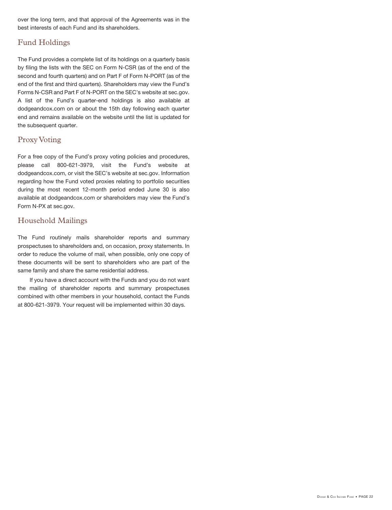over the long term, and that approval of the Agreements was in the best interests of each Fund and its shareholders.

# Fund Holdings

The Fund provides a complete list of its holdings on a quarterly basis by filing the lists with the SEC on Form N-CSR (as of the end of the second and fourth quarters) and on Part F of Form N-PORT (as of the end of the first and third quarters). Shareholders may view the Fund's Forms N-CSR and Part F of N-PORT on the SEC's website at sec.gov. A list of the Fund's quarter-end holdings is also available at dodgeandcox.com on or about the 15th day following each quarter end and remains available on the website until the list is updated for the subsequent quarter.

## Proxy Voting

For a free copy of the Fund's proxy voting policies and procedures, please call 800-621-3979, visit the Fund's website at dodgeandcox.com, or visit the SEC's website at sec.gov. Information regarding how the Fund voted proxies relating to portfolio securities during the most recent 12-month period ended June 30 is also available at dodgeandcox.com or shareholders may view the Fund's Form N-PX at sec.gov.

# Household Mailings

The Fund routinely mails shareholder reports and summary prospectuses to shareholders and, on occasion, proxy statements. In order to reduce the volume of mail, when possible, only one copy of these documents will be sent to shareholders who are part of the same family and share the same residential address.

If you have a direct account with the Funds and you do not want the mailing of shareholder reports and summary prospectuses combined with other members in your household, contact the Funds at 800-621-3979. Your request will be implemented within 30 days.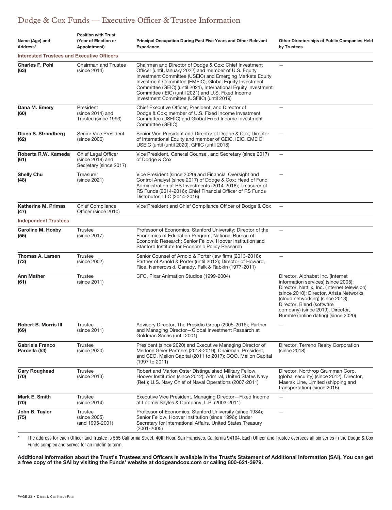# Dodge & Cox Funds — Executive Officer & Trustee Information

| Name (Age) and<br>Address*                        | <b>Position with Trust</b><br>(Year of Election or<br>Appointment) | Principal Occupation During Past Five Years and Other Relevant<br><b>Experience</b>                                                                                                                                                                                                                                                                                                                           | <b>Other Directorships of Public Companies Held</b><br>by Trustees                                                                                                                                                                                                                                               |
|---------------------------------------------------|--------------------------------------------------------------------|---------------------------------------------------------------------------------------------------------------------------------------------------------------------------------------------------------------------------------------------------------------------------------------------------------------------------------------------------------------------------------------------------------------|------------------------------------------------------------------------------------------------------------------------------------------------------------------------------------------------------------------------------------------------------------------------------------------------------------------|
| <b>Interested Trustees and Executive Officers</b> |                                                                    |                                                                                                                                                                                                                                                                                                                                                                                                               |                                                                                                                                                                                                                                                                                                                  |
| <b>Charles F. Pohl</b><br>(63)                    | <b>Chairman and Trustee</b><br>(since 2014)                        | Chairman and Director of Dodge & Cox; Chief Investment<br>Officer (until January 2022) and member of U.S. Equity<br>Investment Committee (USEIC) and Emerging Markets Equity<br>Investment Committee (EMEIC), Global Equity Investment<br>Committee (GEIC) (until 2021), International Equity Investment<br>Committee (IEIC) (until 2021) and U.S. Fixed Income<br>Investment Committee (USFIIC) (until 2019) |                                                                                                                                                                                                                                                                                                                  |
| Dana M. Emery<br>(60)                             | President<br>(since 2014) and<br>Trustee (since 1993)              | Chief Executive Officer, President, and Director of<br>Dodge & Cox; member of U.S. Fixed Income Investment<br>Committee (USFIIC) and Global Fixed Income Investment<br>Committee (GFIIC)                                                                                                                                                                                                                      |                                                                                                                                                                                                                                                                                                                  |
| Diana S. Strandberg<br>(62)                       | Senior Vice President<br>(since 2006)                              | Senior Vice President and Director of Dodge & Cox; Director<br>of International Equity and member of GEIC, IEIC, EMEIC,<br>USEIC (until (until 2020), GFIIC (until 2018)                                                                                                                                                                                                                                      | $\overline{\phantom{0}}$                                                                                                                                                                                                                                                                                         |
| Roberta R.W. Kameda<br>(61)                       | Chief Legal Officer<br>(since 2019) and<br>Secretary (since 2017)  | Vice President, General Counsel, and Secretary (since 2017)<br>of Dodge & Cox                                                                                                                                                                                                                                                                                                                                 |                                                                                                                                                                                                                                                                                                                  |
| <b>Shelly Chu</b><br>(48)                         | Treasurer<br>(since 2021)                                          | Vice President (since 2020) and Financial Oversight and<br>Control Analyst (since 2017) of Dodge & Cox; Head of Fund<br>Administration at RS Investments (2014-2016); Treasurer of<br>RS Funds (2014-2016); Chief Financial Officer of RS Funds<br>Distributor, LLC (2014-2016)                                                                                                                               |                                                                                                                                                                                                                                                                                                                  |
| <b>Katherine M. Primas</b><br>(47)                | <b>Chief Compliance</b><br>Officer (since 2010)                    | Vice President and Chief Compliance Officer of Dodge & Cox                                                                                                                                                                                                                                                                                                                                                    |                                                                                                                                                                                                                                                                                                                  |
| <b>Independent Trustees</b>                       |                                                                    |                                                                                                                                                                                                                                                                                                                                                                                                               |                                                                                                                                                                                                                                                                                                                  |
| Caroline M. Hoxby<br>(55)                         | Trustee<br>(since 2017)                                            | Professor of Economics, Stanford University; Director of the<br>Economics of Education Program, National Bureau of<br>Economic Research; Senior Fellow, Hoover Institution and<br>Stanford Institute for Economic Policy Research                                                                                                                                                                             |                                                                                                                                                                                                                                                                                                                  |
| <b>Thomas A. Larsen</b><br>(72)                   | <b>Trustee</b><br>(since 2002)                                     | Senior Counsel of Arnold & Porter (law firm) (2013-2018);<br>Partner of Arnold & Porter (until 2012); Director of Howard,<br>Rice, Nemerovski, Canady, Falk & Rabkin (1977-2011)                                                                                                                                                                                                                              |                                                                                                                                                                                                                                                                                                                  |
| <b>Ann Mather</b><br>(61)                         | Trustee<br>(since 2011)                                            | CFO, Pixar Animation Studios (1999-2004)                                                                                                                                                                                                                                                                                                                                                                      | Director, Alphabet Inc. (internet<br>information services) (since 2005);<br>Director, Netflix, Inc. (internet television)<br>(since 2010); Director, Arista Networks<br>(cloud networking) (since 2013);<br>Director, Blend (software<br>company) (since 2019), Director,<br>Bumble (online dating) (since 2020) |
| <b>Robert B. Morris III</b><br>(69)               | Trustee<br>(since 2011)                                            | Advisory Director, The Presidio Group (2005-2016); Partner<br>and Managing Director-Global Investment Research at<br>Goldman Sachs (until 2001)                                                                                                                                                                                                                                                               |                                                                                                                                                                                                                                                                                                                  |
| Gabriela Franco<br>Parcella (53)                  | Trustee<br>(since 2020)                                            | President (since 2020) and Executive Managing Director of<br>Merlone Geier Partners (2018-2019); Chairman, President,<br>and CEO, Mellon Capital (2011 to 2017); COO, Mellon Capital<br>(1997 to 2011)                                                                                                                                                                                                        | Director, Terreno Realty Corporation<br>(since 2018)                                                                                                                                                                                                                                                             |
| <b>Gary Roughead</b><br>(70)                      | Trustee<br>(since 2013)                                            | Robert and Marion Oster Distinguished Military Fellow,<br>Hoover Institution (since 2012); Admiral, United States Navy<br>(Ret.); U.S. Navy Chief of Naval Operations (2007-2011)                                                                                                                                                                                                                             | Director, Northrop Grumman Corp.<br>(global security) (since 2012); Director,<br>Maersk Line, Limited (shipping and<br>transportation) (since 2016)                                                                                                                                                              |
| Mark E. Smith<br>(70)                             | Trustee<br>(since 2014)                                            | Executive Vice President, Managing Director-Fixed Income<br>at Loomis Sayles & Company, L.P. (2003-2011)                                                                                                                                                                                                                                                                                                      |                                                                                                                                                                                                                                                                                                                  |
| John B. Taylor<br>(75)                            | Trustee<br>(since 2005)<br>(and 1995-2001)                         | Professor of Economics, Stanford University (since 1984);<br>Senior Fellow, Hoover Institution (since 1996); Under<br>Secretary for International Affairs, United States Treasury<br>$(2001 - 2005)$                                                                                                                                                                                                          |                                                                                                                                                                                                                                                                                                                  |

\* The address for each Officer and Trustee is 555 California Street, 40th Floor, San Francisco, California 94104. Each Officer and Trustee oversees all six series in the Dodge & Cox Funds complex and serves for an indefinite term.

Additional information about the Trust's Trustees and Officers is available in the Trust's Statement of Additional Information (SAI). You can get<br>a free copy of the SAI by visiting the Funds' website at dodgeandcox.com or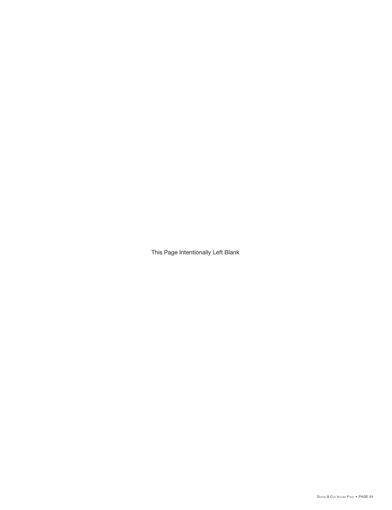This Page Intentionally Left Blank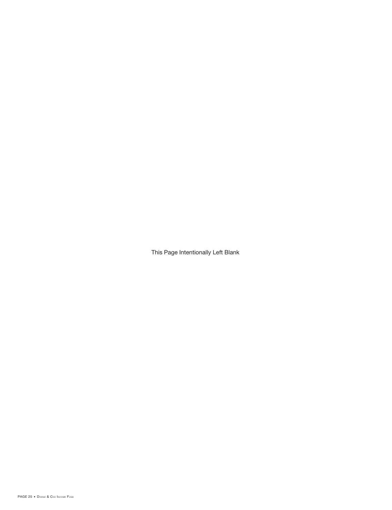This Page Intentionally Left Blank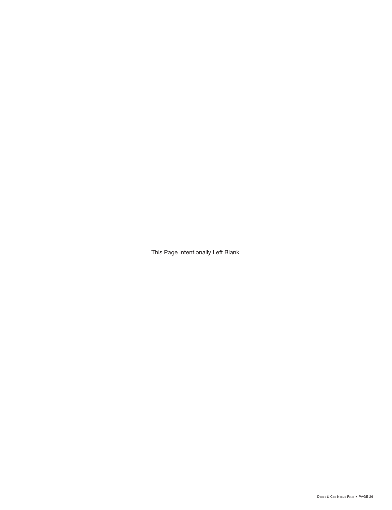This Page Intentionally Left Blank